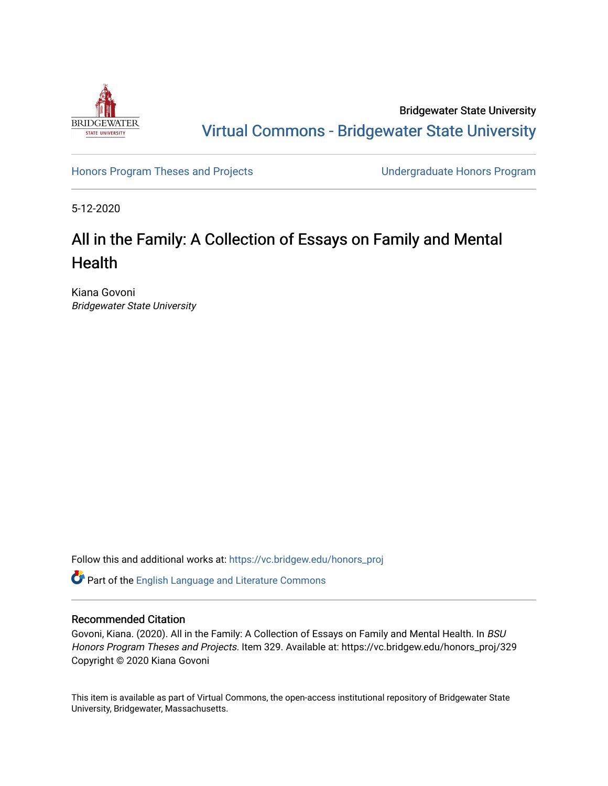

Bridgewater State University [Virtual Commons - Bridgewater State University](https://vc.bridgew.edu/) 

[Honors Program Theses and Projects](https://vc.bridgew.edu/honors_proj) [Undergraduate Honors Program](https://vc.bridgew.edu/honors) 

5-12-2020

# All in the Family: A Collection of Essays on Family and Mental **Health**

Kiana Govoni Bridgewater State University

Follow this and additional works at: [https://vc.bridgew.edu/honors\\_proj](https://vc.bridgew.edu/honors_proj?utm_source=vc.bridgew.edu%2Fhonors_proj%2F329&utm_medium=PDF&utm_campaign=PDFCoverPages)

Part of the [English Language and Literature Commons](http://network.bepress.com/hgg/discipline/455?utm_source=vc.bridgew.edu%2Fhonors_proj%2F329&utm_medium=PDF&utm_campaign=PDFCoverPages)

## Recommended Citation

Govoni, Kiana. (2020). All in the Family: A Collection of Essays on Family and Mental Health. In BSU Honors Program Theses and Projects. Item 329. Available at: https://vc.bridgew.edu/honors\_proj/329 Copyright © 2020 Kiana Govoni

This item is available as part of Virtual Commons, the open-access institutional repository of Bridgewater State University, Bridgewater, Massachusetts.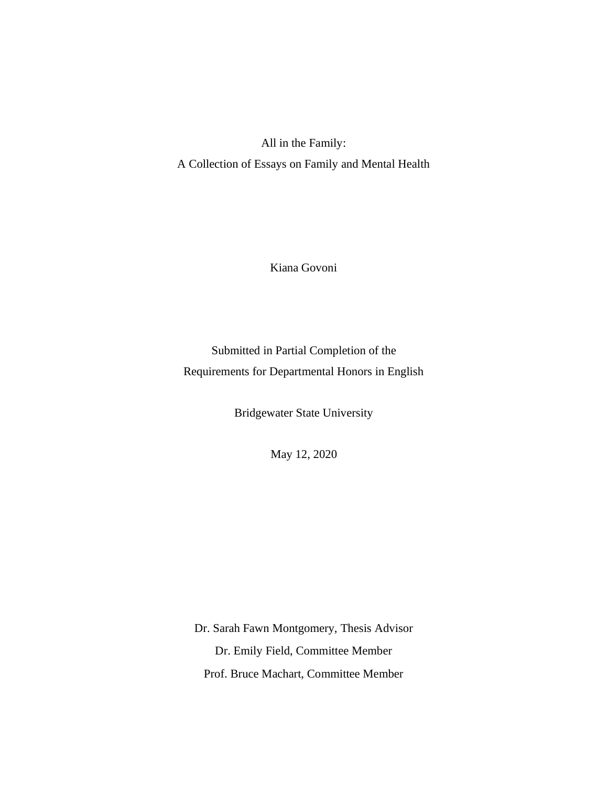All in the Family: A Collection of Essays on Family and Mental Health

Kiana Govoni

Submitted in Partial Completion of the Requirements for Departmental Honors in English

Bridgewater State University

May 12, 2020

Dr. Sarah Fawn Montgomery, Thesis Advisor Dr. Emily Field, Committee Member Prof. Bruce Machart, Committee Member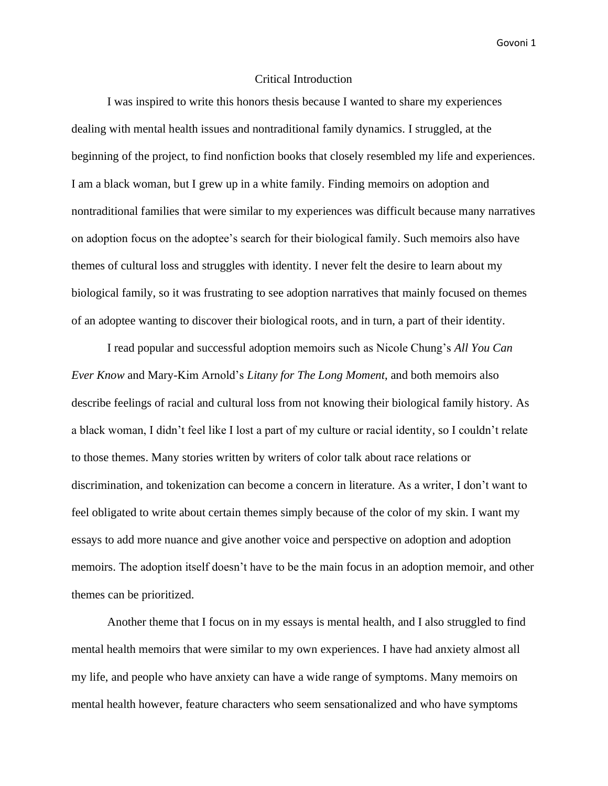## Critical Introduction

I was inspired to write this honors thesis because I wanted to share my experiences dealing with mental health issues and nontraditional family dynamics. I struggled, at the beginning of the project, to find nonfiction books that closely resembled my life and experiences. I am a black woman, but I grew up in a white family. Finding memoirs on adoption and nontraditional families that were similar to my experiences was difficult because many narratives on adoption focus on the adoptee's search for their biological family. Such memoirs also have themes of cultural loss and struggles with identity. I never felt the desire to learn about my biological family, so it was frustrating to see adoption narratives that mainly focused on themes of an adoptee wanting to discover their biological roots, and in turn, a part of their identity.

I read popular and successful adoption memoirs such as Nicole Chung's *All You Can Ever Know* and Mary-Kim Arnold's *Litany for The Long Moment*, and both memoirs also describe feelings of racial and cultural loss from not knowing their biological family history. As a black woman, I didn't feel like I lost a part of my culture or racial identity, so I couldn't relate to those themes. Many stories written by writers of color talk about race relations or discrimination, and tokenization can become a concern in literature. As a writer, I don't want to feel obligated to write about certain themes simply because of the color of my skin. I want my essays to add more nuance and give another voice and perspective on adoption and adoption memoirs. The adoption itself doesn't have to be the main focus in an adoption memoir, and other themes can be prioritized.

Another theme that I focus on in my essays is mental health, and I also struggled to find mental health memoirs that were similar to my own experiences. I have had anxiety almost all my life, and people who have anxiety can have a wide range of symptoms. Many memoirs on mental health however, feature characters who seem sensationalized and who have symptoms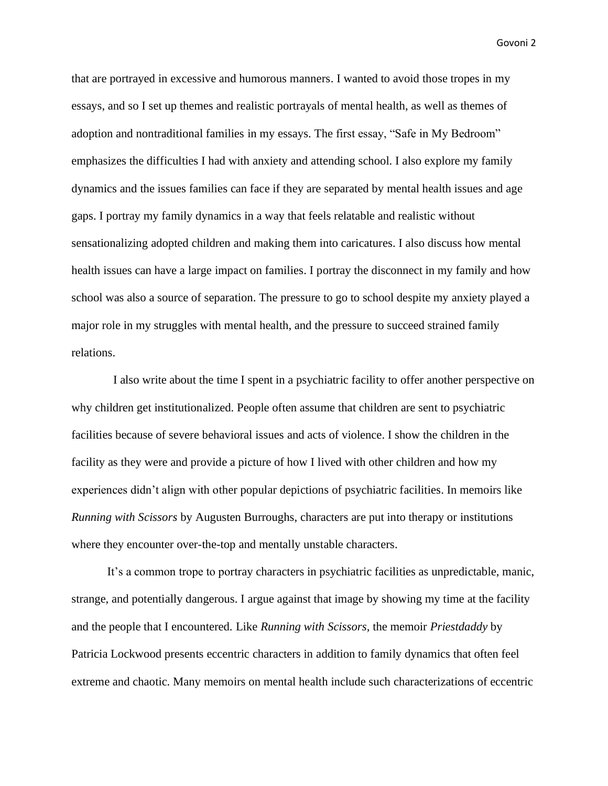that are portrayed in excessive and humorous manners. I wanted to avoid those tropes in my essays, and so I set up themes and realistic portrayals of mental health, as well as themes of adoption and nontraditional families in my essays. The first essay, "Safe in My Bedroom" emphasizes the difficulties I had with anxiety and attending school. I also explore my family dynamics and the issues families can face if they are separated by mental health issues and age gaps. I portray my family dynamics in a way that feels relatable and realistic without sensationalizing adopted children and making them into caricatures. I also discuss how mental health issues can have a large impact on families. I portray the disconnect in my family and how school was also a source of separation. The pressure to go to school despite my anxiety played a major role in my struggles with mental health, and the pressure to succeed strained family relations.

I also write about the time I spent in a psychiatric facility to offer another perspective on why children get institutionalized. People often assume that children are sent to psychiatric facilities because of severe behavioral issues and acts of violence. I show the children in the facility as they were and provide a picture of how I lived with other children and how my experiences didn't align with other popular depictions of psychiatric facilities. In memoirs like *Running with Scissors* by Augusten Burroughs, characters are put into therapy or institutions where they encounter over-the-top and mentally unstable characters.

It's a common trope to portray characters in psychiatric facilities as unpredictable, manic, strange, and potentially dangerous. I argue against that image by showing my time at the facility and the people that I encountered. Like *Running with Scissors,* the memoir *Priestdaddy* by Patricia Lockwood presents eccentric characters in addition to family dynamics that often feel extreme and chaotic. Many memoirs on mental health include such characterizations of eccentric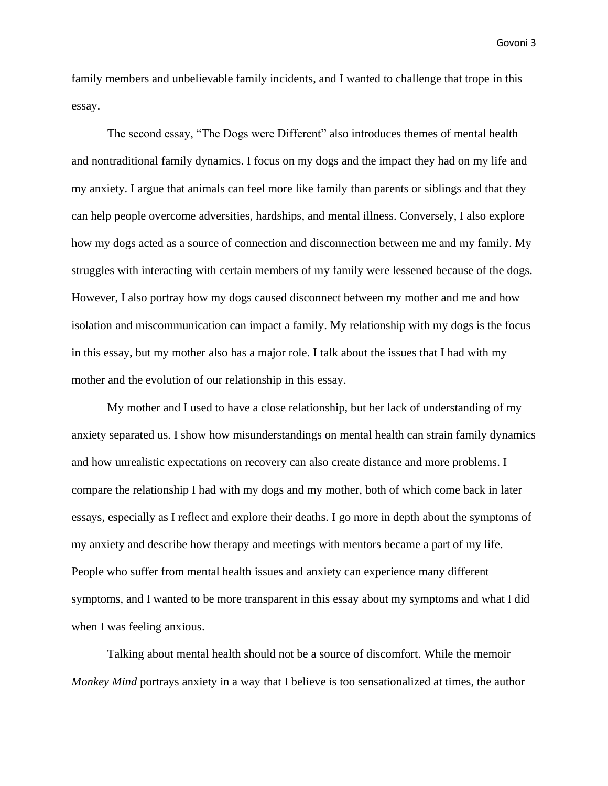family members and unbelievable family incidents, and I wanted to challenge that trope in this essay.

The second essay, "The Dogs were Different" also introduces themes of mental health and nontraditional family dynamics. I focus on my dogs and the impact they had on my life and my anxiety. I argue that animals can feel more like family than parents or siblings and that they can help people overcome adversities, hardships, and mental illness. Conversely, I also explore how my dogs acted as a source of connection and disconnection between me and my family. My struggles with interacting with certain members of my family were lessened because of the dogs. However, I also portray how my dogs caused disconnect between my mother and me and how isolation and miscommunication can impact a family. My relationship with my dogs is the focus in this essay, but my mother also has a major role. I talk about the issues that I had with my mother and the evolution of our relationship in this essay.

My mother and I used to have a close relationship, but her lack of understanding of my anxiety separated us. I show how misunderstandings on mental health can strain family dynamics and how unrealistic expectations on recovery can also create distance and more problems. I compare the relationship I had with my dogs and my mother, both of which come back in later essays, especially as I reflect and explore their deaths. I go more in depth about the symptoms of my anxiety and describe how therapy and meetings with mentors became a part of my life. People who suffer from mental health issues and anxiety can experience many different symptoms, and I wanted to be more transparent in this essay about my symptoms and what I did when I was feeling anxious.

Talking about mental health should not be a source of discomfort. While the memoir *Monkey Mind* portrays anxiety in a way that I believe is too sensationalized at times, the author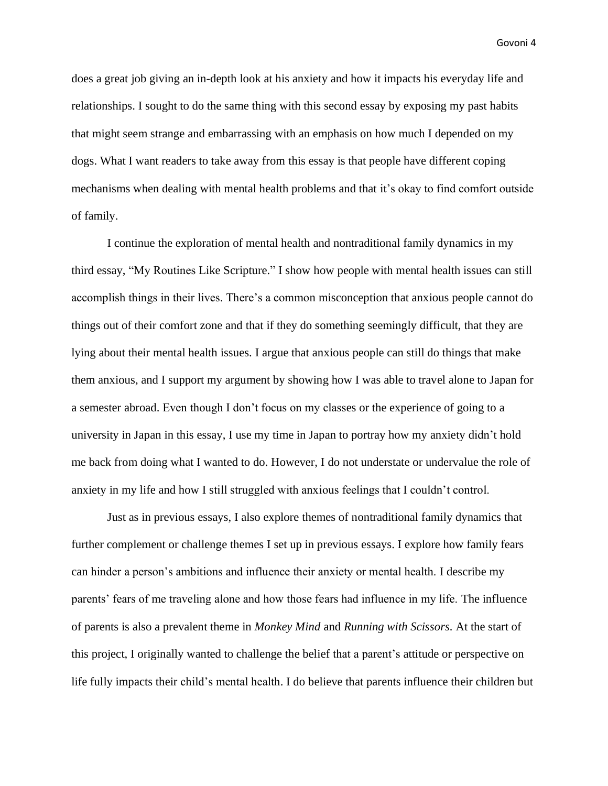does a great job giving an in-depth look at his anxiety and how it impacts his everyday life and relationships. I sought to do the same thing with this second essay by exposing my past habits that might seem strange and embarrassing with an emphasis on how much I depended on my dogs. What I want readers to take away from this essay is that people have different coping mechanisms when dealing with mental health problems and that it's okay to find comfort outside of family.

I continue the exploration of mental health and nontraditional family dynamics in my third essay, "My Routines Like Scripture." I show how people with mental health issues can still accomplish things in their lives. There's a common misconception that anxious people cannot do things out of their comfort zone and that if they do something seemingly difficult, that they are lying about their mental health issues. I argue that anxious people can still do things that make them anxious, and I support my argument by showing how I was able to travel alone to Japan for a semester abroad. Even though I don't focus on my classes or the experience of going to a university in Japan in this essay, I use my time in Japan to portray how my anxiety didn't hold me back from doing what I wanted to do. However, I do not understate or undervalue the role of anxiety in my life and how I still struggled with anxious feelings that I couldn't control.

Just as in previous essays, I also explore themes of nontraditional family dynamics that further complement or challenge themes I set up in previous essays. I explore how family fears can hinder a person's ambitions and influence their anxiety or mental health. I describe my parents' fears of me traveling alone and how those fears had influence in my life. The influence of parents is also a prevalent theme in *Monkey Mind* and *Running with Scissors.* At the start of this project, I originally wanted to challenge the belief that a parent's attitude or perspective on life fully impacts their child's mental health. I do believe that parents influence their children but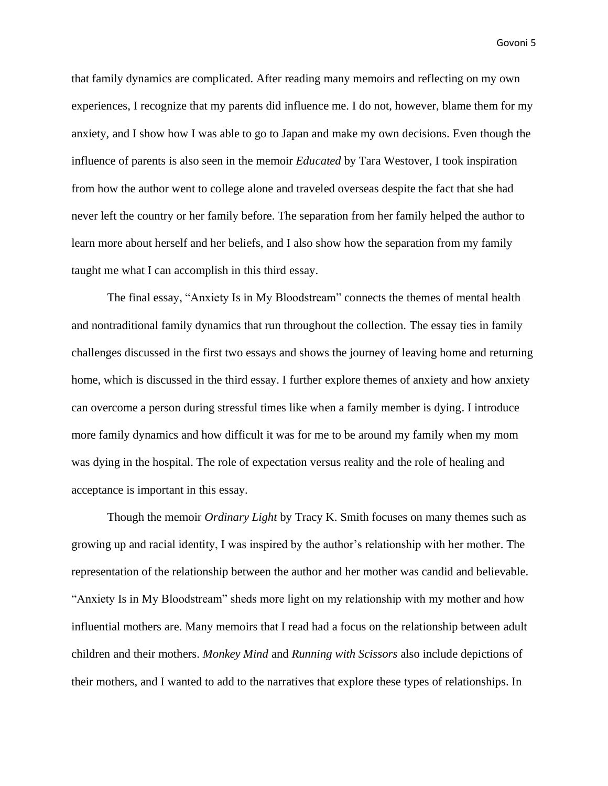that family dynamics are complicated. After reading many memoirs and reflecting on my own experiences, I recognize that my parents did influence me. I do not, however, blame them for my anxiety, and I show how I was able to go to Japan and make my own decisions. Even though the influence of parents is also seen in the memoir *Educated* by Tara Westover, I took inspiration from how the author went to college alone and traveled overseas despite the fact that she had never left the country or her family before. The separation from her family helped the author to learn more about herself and her beliefs, and I also show how the separation from my family taught me what I can accomplish in this third essay.

The final essay, "Anxiety Is in My Bloodstream" connects the themes of mental health and nontraditional family dynamics that run throughout the collection. The essay ties in family challenges discussed in the first two essays and shows the journey of leaving home and returning home, which is discussed in the third essay. I further explore themes of anxiety and how anxiety can overcome a person during stressful times like when a family member is dying. I introduce more family dynamics and how difficult it was for me to be around my family when my mom was dying in the hospital. The role of expectation versus reality and the role of healing and acceptance is important in this essay.

Though the memoir *Ordinary Light* by Tracy K. Smith focuses on many themes such as growing up and racial identity, I was inspired by the author's relationship with her mother. The representation of the relationship between the author and her mother was candid and believable. "Anxiety Is in My Bloodstream" sheds more light on my relationship with my mother and how influential mothers are. Many memoirs that I read had a focus on the relationship between adult children and their mothers. *Monkey Mind* and *Running with Scissors* also include depictions of their mothers, and I wanted to add to the narratives that explore these types of relationships. In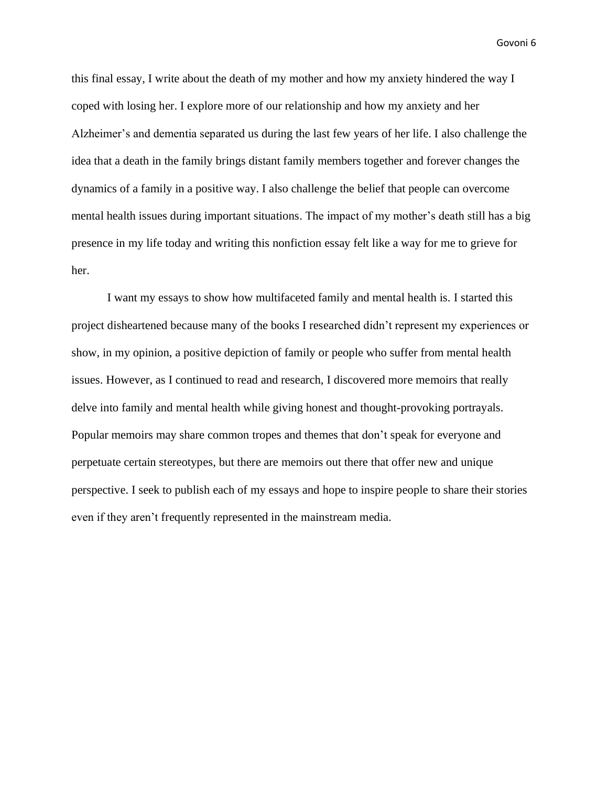this final essay, I write about the death of my mother and how my anxiety hindered the way I coped with losing her. I explore more of our relationship and how my anxiety and her Alzheimer's and dementia separated us during the last few years of her life. I also challenge the idea that a death in the family brings distant family members together and forever changes the dynamics of a family in a positive way. I also challenge the belief that people can overcome mental health issues during important situations. The impact of my mother's death still has a big presence in my life today and writing this nonfiction essay felt like a way for me to grieve for her.

I want my essays to show how multifaceted family and mental health is. I started this project disheartened because many of the books I researched didn't represent my experiences or show, in my opinion, a positive depiction of family or people who suffer from mental health issues. However, as I continued to read and research, I discovered more memoirs that really delve into family and mental health while giving honest and thought-provoking portrayals. Popular memoirs may share common tropes and themes that don't speak for everyone and perpetuate certain stereotypes, but there are memoirs out there that offer new and unique perspective. I seek to publish each of my essays and hope to inspire people to share their stories even if they aren't frequently represented in the mainstream media.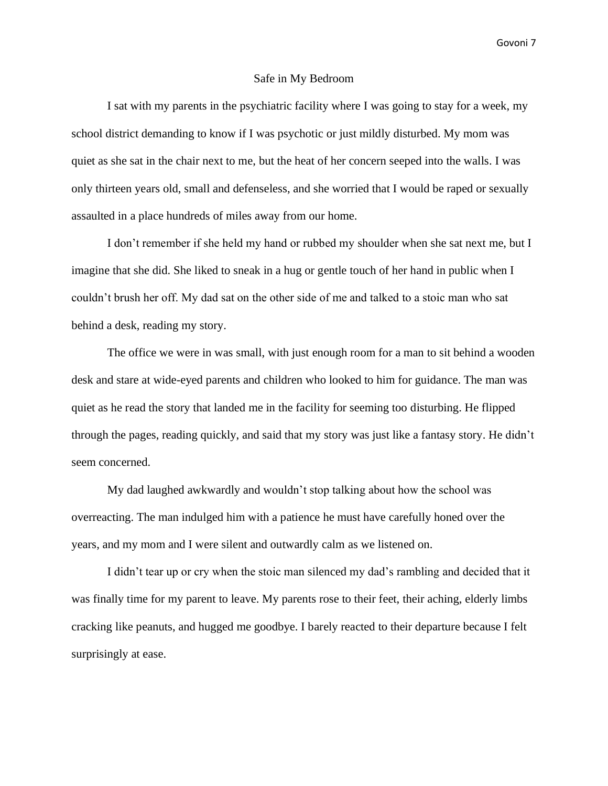#### Safe in My Bedroom

I sat with my parents in the psychiatric facility where I was going to stay for a week, my school district demanding to know if I was psychotic or just mildly disturbed. My mom was quiet as she sat in the chair next to me, but the heat of her concern seeped into the walls. I was only thirteen years old, small and defenseless, and she worried that I would be raped or sexually assaulted in a place hundreds of miles away from our home.

I don't remember if she held my hand or rubbed my shoulder when she sat next me, but I imagine that she did. She liked to sneak in a hug or gentle touch of her hand in public when I couldn't brush her off. My dad sat on the other side of me and talked to a stoic man who sat behind a desk, reading my story.

The office we were in was small, with just enough room for a man to sit behind a wooden desk and stare at wide-eyed parents and children who looked to him for guidance. The man was quiet as he read the story that landed me in the facility for seeming too disturbing. He flipped through the pages, reading quickly, and said that my story was just like a fantasy story. He didn't seem concerned.

My dad laughed awkwardly and wouldn't stop talking about how the school was overreacting. The man indulged him with a patience he must have carefully honed over the years, and my mom and I were silent and outwardly calm as we listened on.

I didn't tear up or cry when the stoic man silenced my dad's rambling and decided that it was finally time for my parent to leave. My parents rose to their feet, their aching, elderly limbs cracking like peanuts, and hugged me goodbye. I barely reacted to their departure because I felt surprisingly at ease.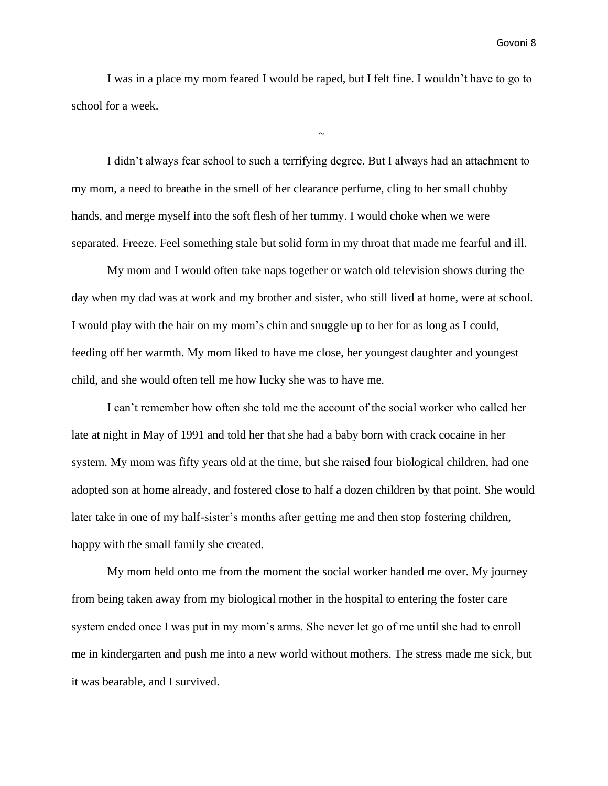I was in a place my mom feared I would be raped, but I felt fine. I wouldn't have to go to school for a week.

 $\sim$ 

I didn't always fear school to such a terrifying degree. But I always had an attachment to my mom, a need to breathe in the smell of her clearance perfume, cling to her small chubby hands, and merge myself into the soft flesh of her tummy. I would choke when we were separated. Freeze. Feel something stale but solid form in my throat that made me fearful and ill.

My mom and I would often take naps together or watch old television shows during the day when my dad was at work and my brother and sister, who still lived at home, were at school. I would play with the hair on my mom's chin and snuggle up to her for as long as I could, feeding off her warmth. My mom liked to have me close, her youngest daughter and youngest child, and she would often tell me how lucky she was to have me.

I can't remember how often she told me the account of the social worker who called her late at night in May of 1991 and told her that she had a baby born with crack cocaine in her system. My mom was fifty years old at the time, but she raised four biological children, had one adopted son at home already, and fostered close to half a dozen children by that point. She would later take in one of my half-sister's months after getting me and then stop fostering children, happy with the small family she created.

My mom held onto me from the moment the social worker handed me over. My journey from being taken away from my biological mother in the hospital to entering the foster care system ended once I was put in my mom's arms. She never let go of me until she had to enroll me in kindergarten and push me into a new world without mothers. The stress made me sick, but it was bearable, and I survived.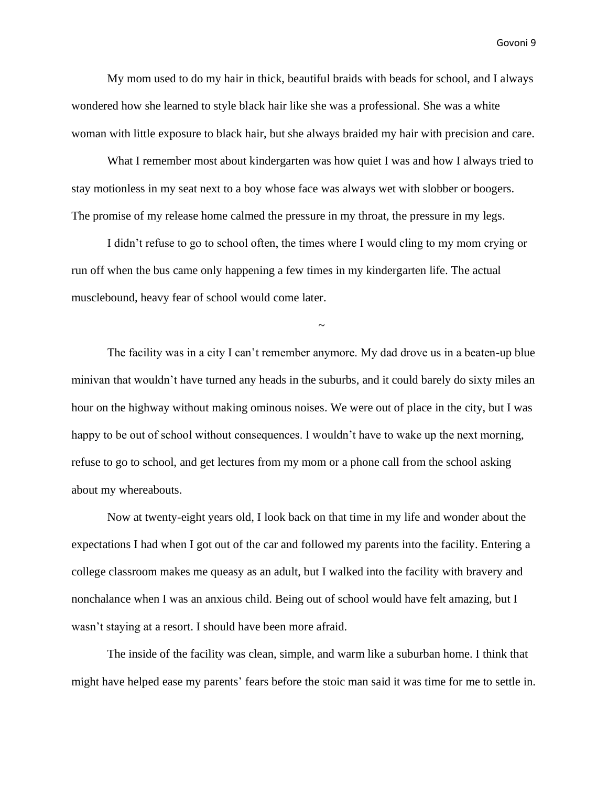My mom used to do my hair in thick, beautiful braids with beads for school, and I always wondered how she learned to style black hair like she was a professional. She was a white woman with little exposure to black hair, but she always braided my hair with precision and care.

What I remember most about kindergarten was how quiet I was and how I always tried to stay motionless in my seat next to a boy whose face was always wet with slobber or boogers. The promise of my release home calmed the pressure in my throat, the pressure in my legs.

I didn't refuse to go to school often, the times where I would cling to my mom crying or run off when the bus came only happening a few times in my kindergarten life. The actual musclebound, heavy fear of school would come later.

~

The facility was in a city I can't remember anymore. My dad drove us in a beaten-up blue minivan that wouldn't have turned any heads in the suburbs, and it could barely do sixty miles an hour on the highway without making ominous noises. We were out of place in the city, but I was happy to be out of school without consequences. I wouldn't have to wake up the next morning, refuse to go to school, and get lectures from my mom or a phone call from the school asking about my whereabouts.

Now at twenty-eight years old, I look back on that time in my life and wonder about the expectations I had when I got out of the car and followed my parents into the facility. Entering a college classroom makes me queasy as an adult, but I walked into the facility with bravery and nonchalance when I was an anxious child. Being out of school would have felt amazing, but I wasn't staying at a resort. I should have been more afraid.

The inside of the facility was clean, simple, and warm like a suburban home. I think that might have helped ease my parents' fears before the stoic man said it was time for me to settle in.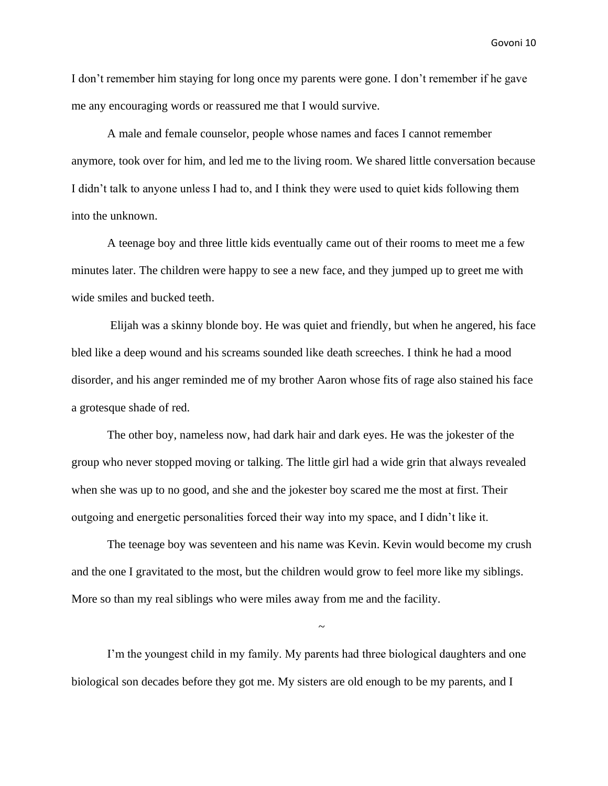I don't remember him staying for long once my parents were gone. I don't remember if he gave me any encouraging words or reassured me that I would survive.

A male and female counselor, people whose names and faces I cannot remember anymore, took over for him, and led me to the living room. We shared little conversation because I didn't talk to anyone unless I had to, and I think they were used to quiet kids following them into the unknown.

A teenage boy and three little kids eventually came out of their rooms to meet me a few minutes later. The children were happy to see a new face, and they jumped up to greet me with wide smiles and bucked teeth.

Elijah was a skinny blonde boy. He was quiet and friendly, but when he angered, his face bled like a deep wound and his screams sounded like death screeches. I think he had a mood disorder, and his anger reminded me of my brother Aaron whose fits of rage also stained his face a grotesque shade of red.

The other boy, nameless now, had dark hair and dark eyes. He was the jokester of the group who never stopped moving or talking. The little girl had a wide grin that always revealed when she was up to no good, and she and the jokester boy scared me the most at first. Their outgoing and energetic personalities forced their way into my space, and I didn't like it.

The teenage boy was seventeen and his name was Kevin. Kevin would become my crush and the one I gravitated to the most, but the children would grow to feel more like my siblings. More so than my real siblings who were miles away from me and the facility.

~

I'm the youngest child in my family. My parents had three biological daughters and one biological son decades before they got me. My sisters are old enough to be my parents, and I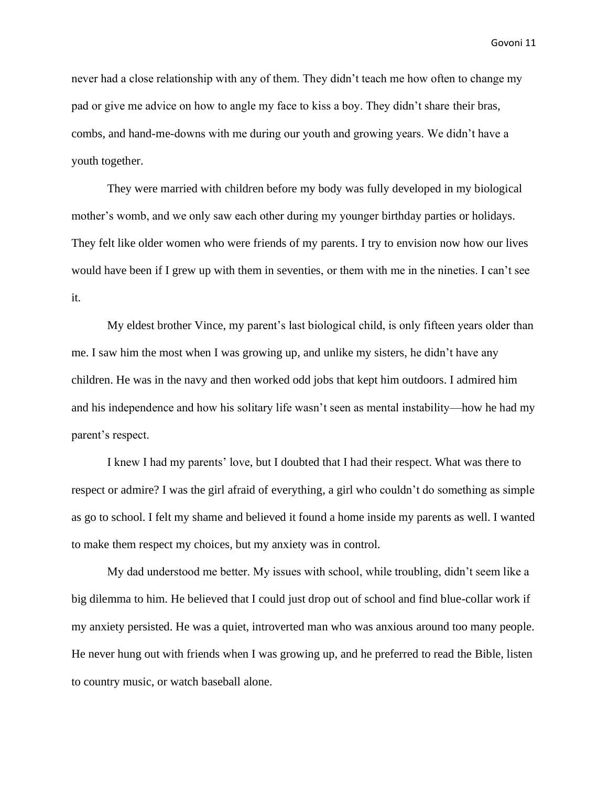never had a close relationship with any of them. They didn't teach me how often to change my pad or give me advice on how to angle my face to kiss a boy. They didn't share their bras, combs, and hand-me-downs with me during our youth and growing years. We didn't have a youth together.

They were married with children before my body was fully developed in my biological mother's womb, and we only saw each other during my younger birthday parties or holidays. They felt like older women who were friends of my parents. I try to envision now how our lives would have been if I grew up with them in seventies, or them with me in the nineties. I can't see it.

My eldest brother Vince, my parent's last biological child, is only fifteen years older than me. I saw him the most when I was growing up, and unlike my sisters, he didn't have any children. He was in the navy and then worked odd jobs that kept him outdoors. I admired him and his independence and how his solitary life wasn't seen as mental instability—how he had my parent's respect.

I knew I had my parents' love, but I doubted that I had their respect. What was there to respect or admire? I was the girl afraid of everything, a girl who couldn't do something as simple as go to school. I felt my shame and believed it found a home inside my parents as well. I wanted to make them respect my choices, but my anxiety was in control.

My dad understood me better. My issues with school, while troubling, didn't seem like a big dilemma to him. He believed that I could just drop out of school and find blue-collar work if my anxiety persisted. He was a quiet, introverted man who was anxious around too many people. He never hung out with friends when I was growing up, and he preferred to read the Bible, listen to country music, or watch baseball alone.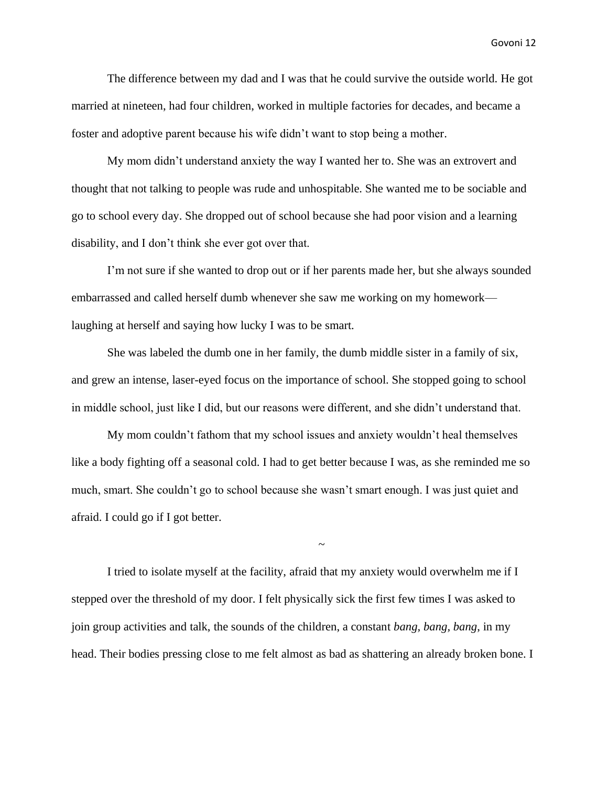The difference between my dad and I was that he could survive the outside world. He got married at nineteen, had four children, worked in multiple factories for decades, and became a foster and adoptive parent because his wife didn't want to stop being a mother.

My mom didn't understand anxiety the way I wanted her to. She was an extrovert and thought that not talking to people was rude and unhospitable. She wanted me to be sociable and go to school every day. She dropped out of school because she had poor vision and a learning disability, and I don't think she ever got over that.

I'm not sure if she wanted to drop out or if her parents made her, but she always sounded embarrassed and called herself dumb whenever she saw me working on my homework laughing at herself and saying how lucky I was to be smart.

She was labeled the dumb one in her family, the dumb middle sister in a family of six, and grew an intense, laser-eyed focus on the importance of school. She stopped going to school in middle school, just like I did, but our reasons were different, and she didn't understand that.

My mom couldn't fathom that my school issues and anxiety wouldn't heal themselves like a body fighting off a seasonal cold. I had to get better because I was, as she reminded me so much, smart. She couldn't go to school because she wasn't smart enough. I was just quiet and afraid. I could go if I got better.

I tried to isolate myself at the facility, afraid that my anxiety would overwhelm me if I stepped over the threshold of my door. I felt physically sick the first few times I was asked to join group activities and talk, the sounds of the children, a constant *bang, bang, bang*, in my head. Their bodies pressing close to me felt almost as bad as shattering an already broken bone. I

~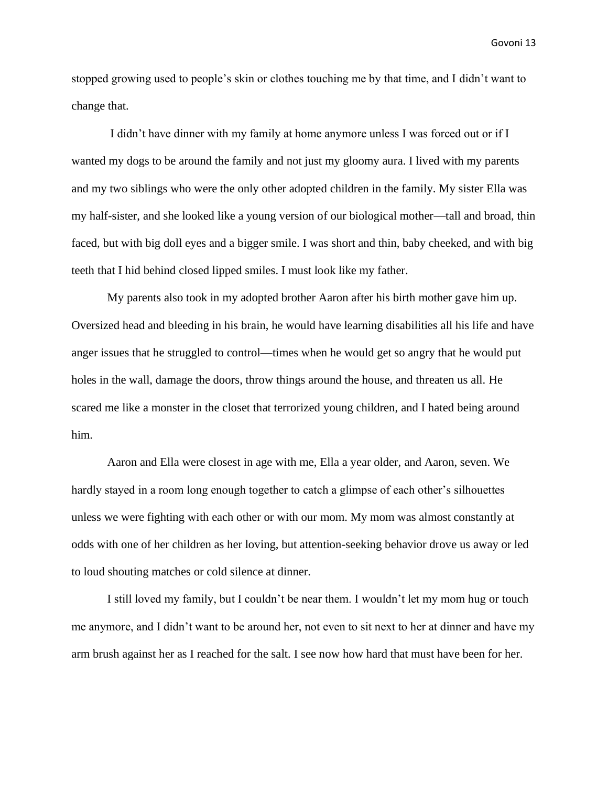stopped growing used to people's skin or clothes touching me by that time, and I didn't want to change that.

I didn't have dinner with my family at home anymore unless I was forced out or if I wanted my dogs to be around the family and not just my gloomy aura. I lived with my parents and my two siblings who were the only other adopted children in the family. My sister Ella was my half-sister, and she looked like a young version of our biological mother—tall and broad, thin faced, but with big doll eyes and a bigger smile. I was short and thin, baby cheeked, and with big teeth that I hid behind closed lipped smiles. I must look like my father.

My parents also took in my adopted brother Aaron after his birth mother gave him up. Oversized head and bleeding in his brain, he would have learning disabilities all his life and have anger issues that he struggled to control—times when he would get so angry that he would put holes in the wall, damage the doors, throw things around the house, and threaten us all. He scared me like a monster in the closet that terrorized young children, and I hated being around him.

Aaron and Ella were closest in age with me, Ella a year older, and Aaron, seven. We hardly stayed in a room long enough together to catch a glimpse of each other's silhouettes unless we were fighting with each other or with our mom. My mom was almost constantly at odds with one of her children as her loving, but attention-seeking behavior drove us away or led to loud shouting matches or cold silence at dinner.

I still loved my family, but I couldn't be near them. I wouldn't let my mom hug or touch me anymore, and I didn't want to be around her, not even to sit next to her at dinner and have my arm brush against her as I reached for the salt. I see now how hard that must have been for her.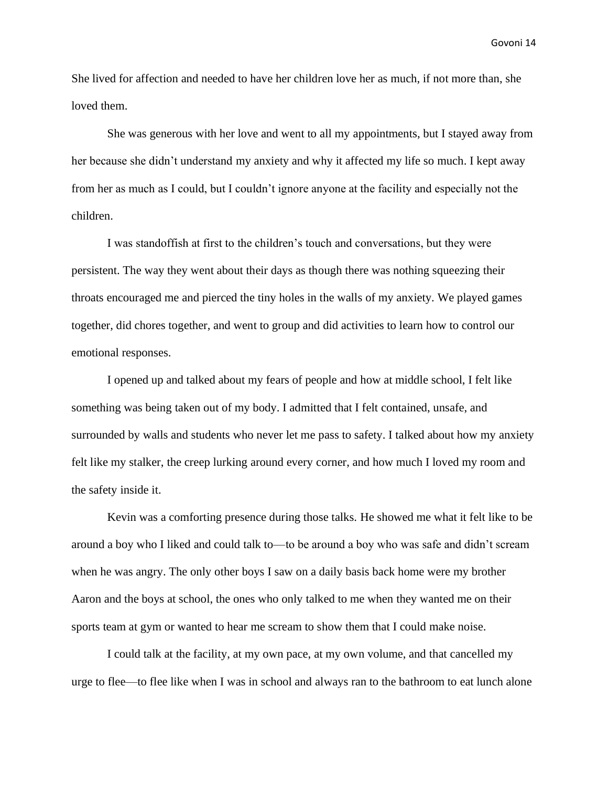She lived for affection and needed to have her children love her as much, if not more than, she loved them.

She was generous with her love and went to all my appointments, but I stayed away from her because she didn't understand my anxiety and why it affected my life so much. I kept away from her as much as I could, but I couldn't ignore anyone at the facility and especially not the children.

I was standoffish at first to the children's touch and conversations, but they were persistent. The way they went about their days as though there was nothing squeezing their throats encouraged me and pierced the tiny holes in the walls of my anxiety. We played games together, did chores together, and went to group and did activities to learn how to control our emotional responses.

I opened up and talked about my fears of people and how at middle school, I felt like something was being taken out of my body. I admitted that I felt contained, unsafe, and surrounded by walls and students who never let me pass to safety. I talked about how my anxiety felt like my stalker, the creep lurking around every corner, and how much I loved my room and the safety inside it.

Kevin was a comforting presence during those talks. He showed me what it felt like to be around a boy who I liked and could talk to—to be around a boy who was safe and didn't scream when he was angry. The only other boys I saw on a daily basis back home were my brother Aaron and the boys at school, the ones who only talked to me when they wanted me on their sports team at gym or wanted to hear me scream to show them that I could make noise.

I could talk at the facility, at my own pace, at my own volume, and that cancelled my urge to flee—to flee like when I was in school and always ran to the bathroom to eat lunch alone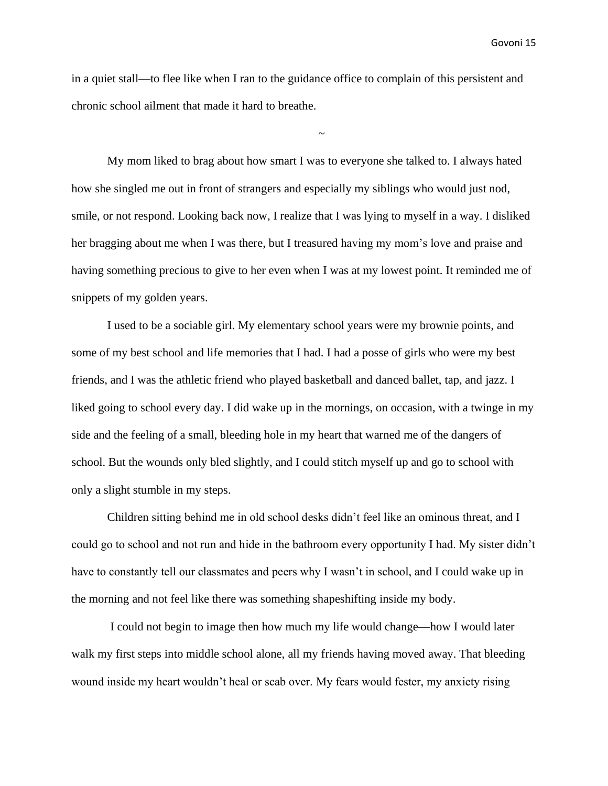in a quiet stall—to flee like when I ran to the guidance office to complain of this persistent and chronic school ailment that made it hard to breathe.

~

My mom liked to brag about how smart I was to everyone she talked to. I always hated how she singled me out in front of strangers and especially my siblings who would just nod, smile, or not respond. Looking back now, I realize that I was lying to myself in a way. I disliked her bragging about me when I was there, but I treasured having my mom's love and praise and having something precious to give to her even when I was at my lowest point. It reminded me of snippets of my golden years.

I used to be a sociable girl. My elementary school years were my brownie points, and some of my best school and life memories that I had. I had a posse of girls who were my best friends, and I was the athletic friend who played basketball and danced ballet, tap, and jazz. I liked going to school every day. I did wake up in the mornings, on occasion, with a twinge in my side and the feeling of a small, bleeding hole in my heart that warned me of the dangers of school. But the wounds only bled slightly, and I could stitch myself up and go to school with only a slight stumble in my steps.

Children sitting behind me in old school desks didn't feel like an ominous threat, and I could go to school and not run and hide in the bathroom every opportunity I had. My sister didn't have to constantly tell our classmates and peers why I wasn't in school, and I could wake up in the morning and not feel like there was something shapeshifting inside my body.

I could not begin to image then how much my life would change—how I would later walk my first steps into middle school alone, all my friends having moved away. That bleeding wound inside my heart wouldn't heal or scab over. My fears would fester, my anxiety rising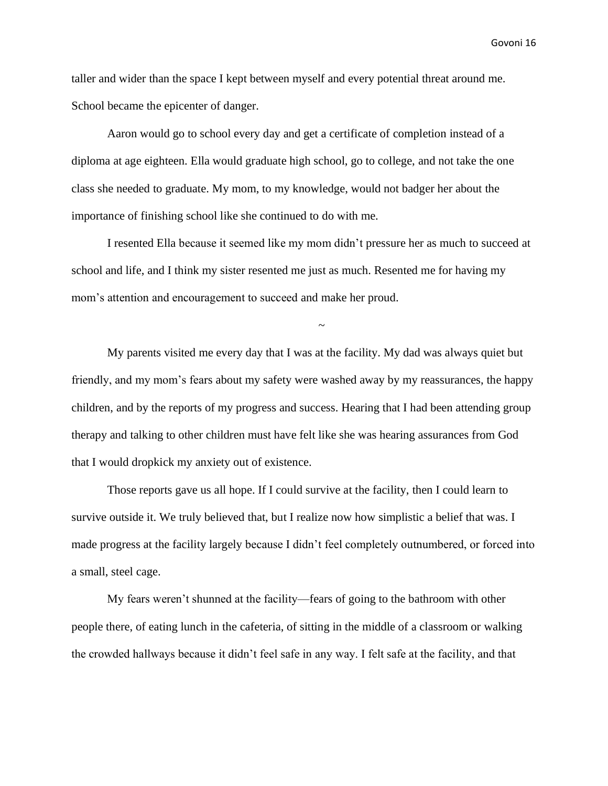taller and wider than the space I kept between myself and every potential threat around me. School became the epicenter of danger.

Aaron would go to school every day and get a certificate of completion instead of a diploma at age eighteen. Ella would graduate high school, go to college, and not take the one class she needed to graduate. My mom, to my knowledge, would not badger her about the importance of finishing school like she continued to do with me.

I resented Ella because it seemed like my mom didn't pressure her as much to succeed at school and life, and I think my sister resented me just as much. Resented me for having my mom's attention and encouragement to succeed and make her proud.

~

My parents visited me every day that I was at the facility. My dad was always quiet but friendly, and my mom's fears about my safety were washed away by my reassurances, the happy children, and by the reports of my progress and success. Hearing that I had been attending group therapy and talking to other children must have felt like she was hearing assurances from God that I would dropkick my anxiety out of existence.

Those reports gave us all hope. If I could survive at the facility, then I could learn to survive outside it. We truly believed that, but I realize now how simplistic a belief that was. I made progress at the facility largely because I didn't feel completely outnumbered, or forced into a small, steel cage.

My fears weren't shunned at the facility—fears of going to the bathroom with other people there, of eating lunch in the cafeteria, of sitting in the middle of a classroom or walking the crowded hallways because it didn't feel safe in any way. I felt safe at the facility, and that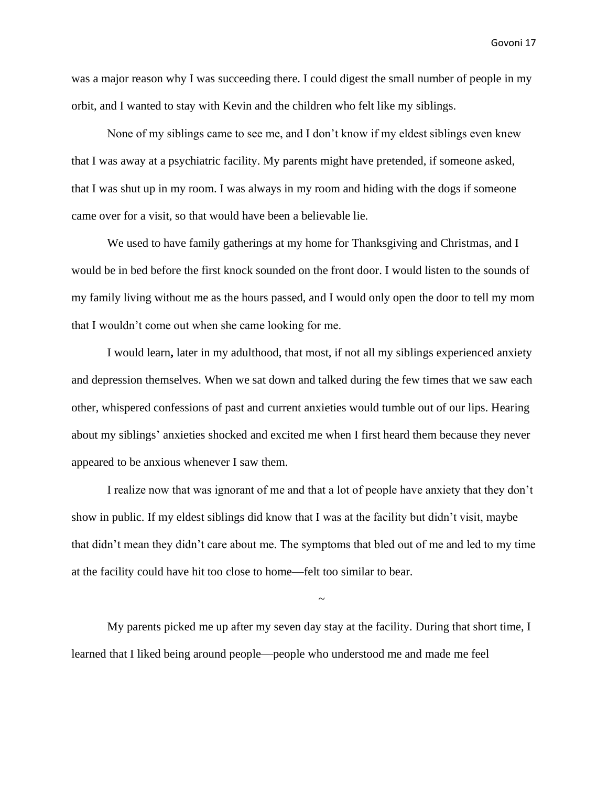was a major reason why I was succeeding there. I could digest the small number of people in my orbit, and I wanted to stay with Kevin and the children who felt like my siblings.

None of my siblings came to see me, and I don't know if my eldest siblings even knew that I was away at a psychiatric facility. My parents might have pretended, if someone asked, that I was shut up in my room. I was always in my room and hiding with the dogs if someone came over for a visit, so that would have been a believable lie.

We used to have family gatherings at my home for Thanksgiving and Christmas, and I would be in bed before the first knock sounded on the front door. I would listen to the sounds of my family living without me as the hours passed, and I would only open the door to tell my mom that I wouldn't come out when she came looking for me.

I would learn**,** later in my adulthood, that most, if not all my siblings experienced anxiety and depression themselves. When we sat down and talked during the few times that we saw each other, whispered confessions of past and current anxieties would tumble out of our lips. Hearing about my siblings' anxieties shocked and excited me when I first heard them because they never appeared to be anxious whenever I saw them.

I realize now that was ignorant of me and that a lot of people have anxiety that they don't show in public. If my eldest siblings did know that I was at the facility but didn't visit, maybe that didn't mean they didn't care about me. The symptoms that bled out of me and led to my time at the facility could have hit too close to home—felt too similar to bear.

My parents picked me up after my seven day stay at the facility. During that short time, I learned that I liked being around people—people who understood me and made me feel

~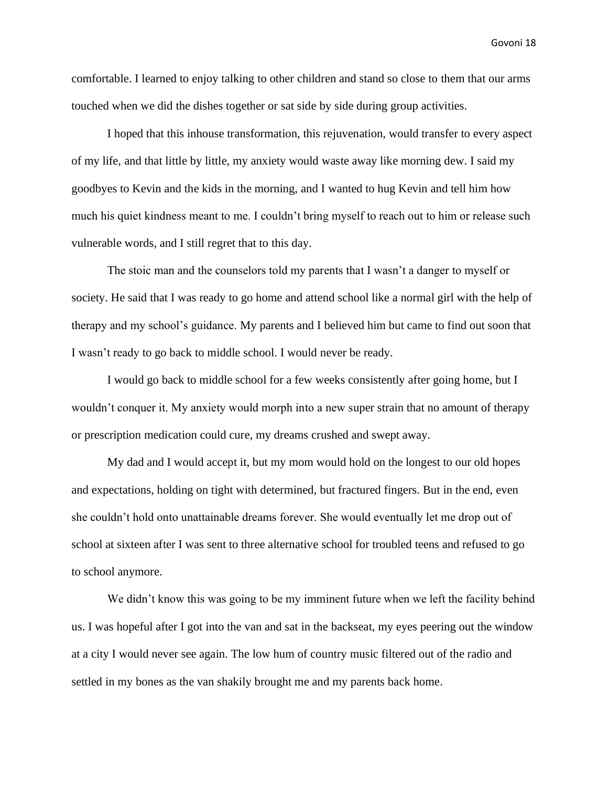comfortable. I learned to enjoy talking to other children and stand so close to them that our arms touched when we did the dishes together or sat side by side during group activities.

I hoped that this inhouse transformation, this rejuvenation, would transfer to every aspect of my life, and that little by little, my anxiety would waste away like morning dew. I said my goodbyes to Kevin and the kids in the morning, and I wanted to hug Kevin and tell him how much his quiet kindness meant to me. I couldn't bring myself to reach out to him or release such vulnerable words, and I still regret that to this day.

The stoic man and the counselors told my parents that I wasn't a danger to myself or society. He said that I was ready to go home and attend school like a normal girl with the help of therapy and my school's guidance. My parents and I believed him but came to find out soon that I wasn't ready to go back to middle school. I would never be ready.

I would go back to middle school for a few weeks consistently after going home, but I wouldn't conquer it. My anxiety would morph into a new super strain that no amount of therapy or prescription medication could cure, my dreams crushed and swept away.

My dad and I would accept it, but my mom would hold on the longest to our old hopes and expectations, holding on tight with determined, but fractured fingers. But in the end, even she couldn't hold onto unattainable dreams forever. She would eventually let me drop out of school at sixteen after I was sent to three alternative school for troubled teens and refused to go to school anymore.

We didn't know this was going to be my imminent future when we left the facility behind us. I was hopeful after I got into the van and sat in the backseat, my eyes peering out the window at a city I would never see again. The low hum of country music filtered out of the radio and settled in my bones as the van shakily brought me and my parents back home.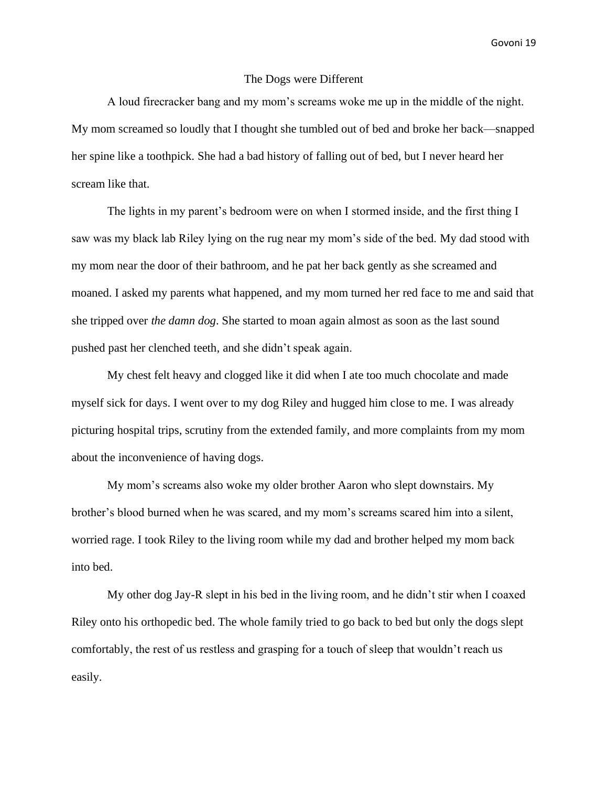### The Dogs were Different

A loud firecracker bang and my mom's screams woke me up in the middle of the night. My mom screamed so loudly that I thought she tumbled out of bed and broke her back—snapped her spine like a toothpick. She had a bad history of falling out of bed, but I never heard her scream like that.

The lights in my parent's bedroom were on when I stormed inside, and the first thing I saw was my black lab Riley lying on the rug near my mom's side of the bed. My dad stood with my mom near the door of their bathroom, and he pat her back gently as she screamed and moaned. I asked my parents what happened, and my mom turned her red face to me and said that she tripped over *the damn dog*. She started to moan again almost as soon as the last sound pushed past her clenched teeth, and she didn't speak again.

My chest felt heavy and clogged like it did when I ate too much chocolate and made myself sick for days. I went over to my dog Riley and hugged him close to me. I was already picturing hospital trips, scrutiny from the extended family, and more complaints from my mom about the inconvenience of having dogs.

My mom's screams also woke my older brother Aaron who slept downstairs. My brother's blood burned when he was scared, and my mom's screams scared him into a silent, worried rage. I took Riley to the living room while my dad and brother helped my mom back into bed.

My other dog Jay-R slept in his bed in the living room, and he didn't stir when I coaxed Riley onto his orthopedic bed. The whole family tried to go back to bed but only the dogs slept comfortably, the rest of us restless and grasping for a touch of sleep that wouldn't reach us easily.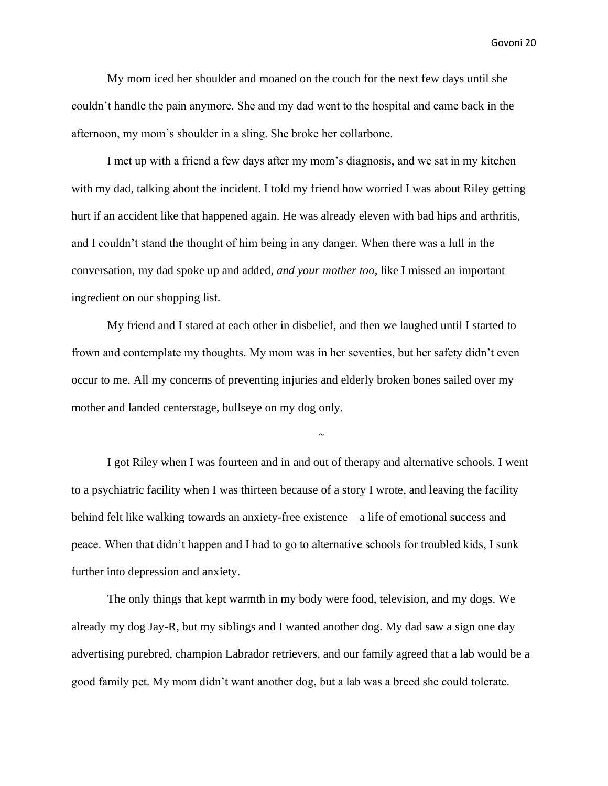My mom iced her shoulder and moaned on the couch for the next few days until she couldn't handle the pain anymore. She and my dad went to the hospital and came back in the afternoon, my mom's shoulder in a sling. She broke her collarbone.

I met up with a friend a few days after my mom's diagnosis, and we sat in my kitchen with my dad, talking about the incident. I told my friend how worried I was about Riley getting hurt if an accident like that happened again. He was already eleven with bad hips and arthritis, and I couldn't stand the thought of him being in any danger. When there was a lull in the conversation, my dad spoke up and added, *and your mother too*, like I missed an important ingredient on our shopping list.

My friend and I stared at each other in disbelief, and then we laughed until I started to frown and contemplate my thoughts. My mom was in her seventies, but her safety didn't even occur to me. All my concerns of preventing injuries and elderly broken bones sailed over my mother and landed centerstage, bullseye on my dog only.

I got Riley when I was fourteen and in and out of therapy and alternative schools. I went to a psychiatric facility when I was thirteen because of a story I wrote, and leaving the facility behind felt like walking towards an anxiety-free existence—a life of emotional success and peace. When that didn't happen and I had to go to alternative schools for troubled kids, I sunk further into depression and anxiety.

~

The only things that kept warmth in my body were food, television, and my dogs. We already my dog Jay-R, but my siblings and I wanted another dog. My dad saw a sign one day advertising purebred, champion Labrador retrievers, and our family agreed that a lab would be a good family pet. My mom didn't want another dog, but a lab was a breed she could tolerate.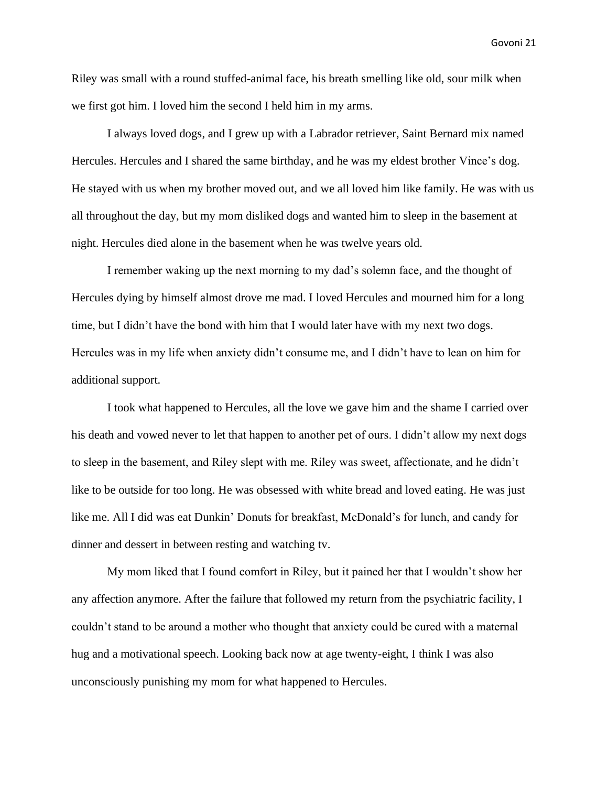Riley was small with a round stuffed-animal face, his breath smelling like old, sour milk when we first got him. I loved him the second I held him in my arms.

I always loved dogs, and I grew up with a Labrador retriever, Saint Bernard mix named Hercules. Hercules and I shared the same birthday, and he was my eldest brother Vince's dog. He stayed with us when my brother moved out, and we all loved him like family. He was with us all throughout the day, but my mom disliked dogs and wanted him to sleep in the basement at night. Hercules died alone in the basement when he was twelve years old.

I remember waking up the next morning to my dad's solemn face, and the thought of Hercules dying by himself almost drove me mad. I loved Hercules and mourned him for a long time, but I didn't have the bond with him that I would later have with my next two dogs. Hercules was in my life when anxiety didn't consume me, and I didn't have to lean on him for additional support.

I took what happened to Hercules, all the love we gave him and the shame I carried over his death and vowed never to let that happen to another pet of ours. I didn't allow my next dogs to sleep in the basement, and Riley slept with me. Riley was sweet, affectionate, and he didn't like to be outside for too long. He was obsessed with white bread and loved eating. He was just like me. All I did was eat Dunkin' Donuts for breakfast, McDonald's for lunch, and candy for dinner and dessert in between resting and watching tv.

My mom liked that I found comfort in Riley, but it pained her that I wouldn't show her any affection anymore. After the failure that followed my return from the psychiatric facility, I couldn't stand to be around a mother who thought that anxiety could be cured with a maternal hug and a motivational speech. Looking back now at age twenty-eight, I think I was also unconsciously punishing my mom for what happened to Hercules.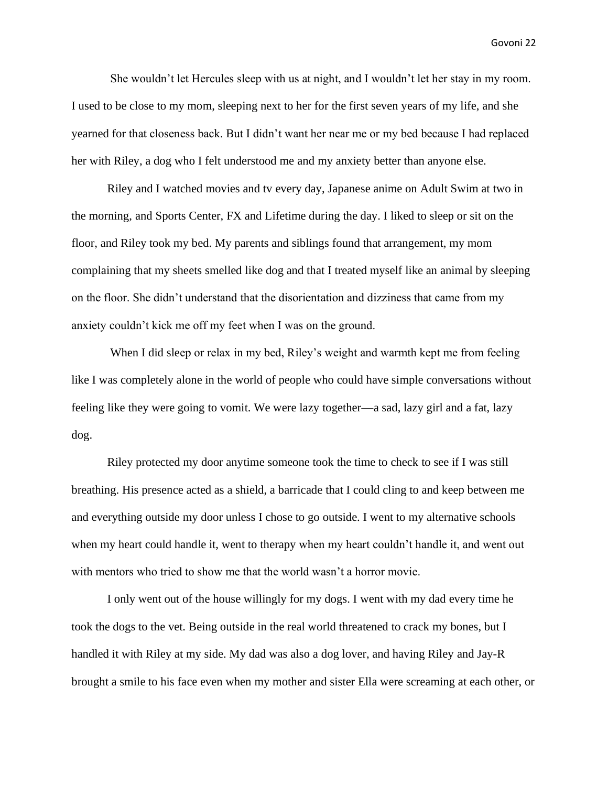She wouldn't let Hercules sleep with us at night, and I wouldn't let her stay in my room. I used to be close to my mom, sleeping next to her for the first seven years of my life, and she yearned for that closeness back. But I didn't want her near me or my bed because I had replaced her with Riley, a dog who I felt understood me and my anxiety better than anyone else.

Riley and I watched movies and tv every day, Japanese anime on Adult Swim at two in the morning, and Sports Center, FX and Lifetime during the day. I liked to sleep or sit on the floor, and Riley took my bed. My parents and siblings found that arrangement, my mom complaining that my sheets smelled like dog and that I treated myself like an animal by sleeping on the floor. She didn't understand that the disorientation and dizziness that came from my anxiety couldn't kick me off my feet when I was on the ground.

When I did sleep or relax in my bed, Riley's weight and warmth kept me from feeling like I was completely alone in the world of people who could have simple conversations without feeling like they were going to vomit. We were lazy together—a sad, lazy girl and a fat, lazy dog.

Riley protected my door anytime someone took the time to check to see if I was still breathing. His presence acted as a shield, a barricade that I could cling to and keep between me and everything outside my door unless I chose to go outside. I went to my alternative schools when my heart could handle it, went to therapy when my heart couldn't handle it, and went out with mentors who tried to show me that the world wasn't a horror movie.

I only went out of the house willingly for my dogs. I went with my dad every time he took the dogs to the vet. Being outside in the real world threatened to crack my bones, but I handled it with Riley at my side. My dad was also a dog lover, and having Riley and Jay-R brought a smile to his face even when my mother and sister Ella were screaming at each other, or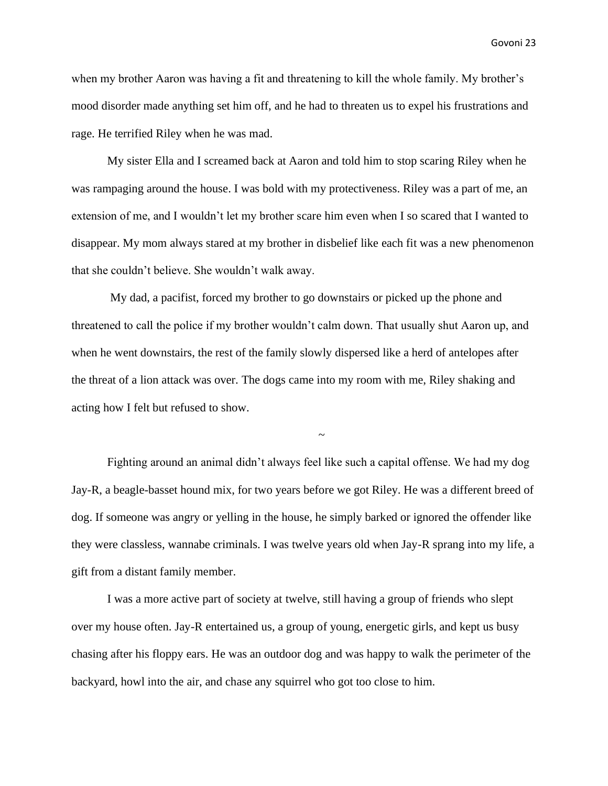when my brother Aaron was having a fit and threatening to kill the whole family. My brother's mood disorder made anything set him off, and he had to threaten us to expel his frustrations and rage. He terrified Riley when he was mad.

My sister Ella and I screamed back at Aaron and told him to stop scaring Riley when he was rampaging around the house. I was bold with my protectiveness. Riley was a part of me, an extension of me, and I wouldn't let my brother scare him even when I so scared that I wanted to disappear. My mom always stared at my brother in disbelief like each fit was a new phenomenon that she couldn't believe. She wouldn't walk away.

My dad, a pacifist, forced my brother to go downstairs or picked up the phone and threatened to call the police if my brother wouldn't calm down. That usually shut Aaron up, and when he went downstairs, the rest of the family slowly dispersed like a herd of antelopes after the threat of a lion attack was over. The dogs came into my room with me, Riley shaking and acting how I felt but refused to show.

Fighting around an animal didn't always feel like such a capital offense. We had my dog Jay-R, a beagle-basset hound mix, for two years before we got Riley. He was a different breed of dog. If someone was angry or yelling in the house, he simply barked or ignored the offender like they were classless, wannabe criminals. I was twelve years old when Jay-R sprang into my life, a gift from a distant family member.

~

I was a more active part of society at twelve, still having a group of friends who slept over my house often. Jay-R entertained us, a group of young, energetic girls, and kept us busy chasing after his floppy ears. He was an outdoor dog and was happy to walk the perimeter of the backyard, howl into the air, and chase any squirrel who got too close to him.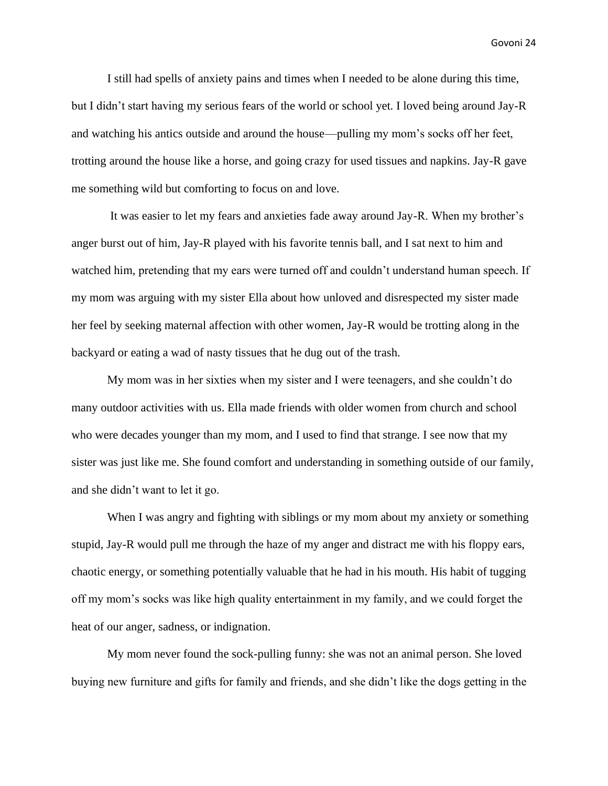I still had spells of anxiety pains and times when I needed to be alone during this time, but I didn't start having my serious fears of the world or school yet. I loved being around Jay-R and watching his antics outside and around the house—pulling my mom's socks off her feet, trotting around the house like a horse, and going crazy for used tissues and napkins. Jay-R gave me something wild but comforting to focus on and love.

It was easier to let my fears and anxieties fade away around Jay-R. When my brother's anger burst out of him, Jay-R played with his favorite tennis ball, and I sat next to him and watched him, pretending that my ears were turned off and couldn't understand human speech. If my mom was arguing with my sister Ella about how unloved and disrespected my sister made her feel by seeking maternal affection with other women, Jay-R would be trotting along in the backyard or eating a wad of nasty tissues that he dug out of the trash.

My mom was in her sixties when my sister and I were teenagers, and she couldn't do many outdoor activities with us. Ella made friends with older women from church and school who were decades younger than my mom, and I used to find that strange. I see now that my sister was just like me. She found comfort and understanding in something outside of our family, and she didn't want to let it go.

When I was angry and fighting with siblings or my mom about my anxiety or something stupid, Jay-R would pull me through the haze of my anger and distract me with his floppy ears, chaotic energy, or something potentially valuable that he had in his mouth. His habit of tugging off my mom's socks was like high quality entertainment in my family, and we could forget the heat of our anger, sadness, or indignation.

My mom never found the sock-pulling funny: she was not an animal person. She loved buying new furniture and gifts for family and friends, and she didn't like the dogs getting in the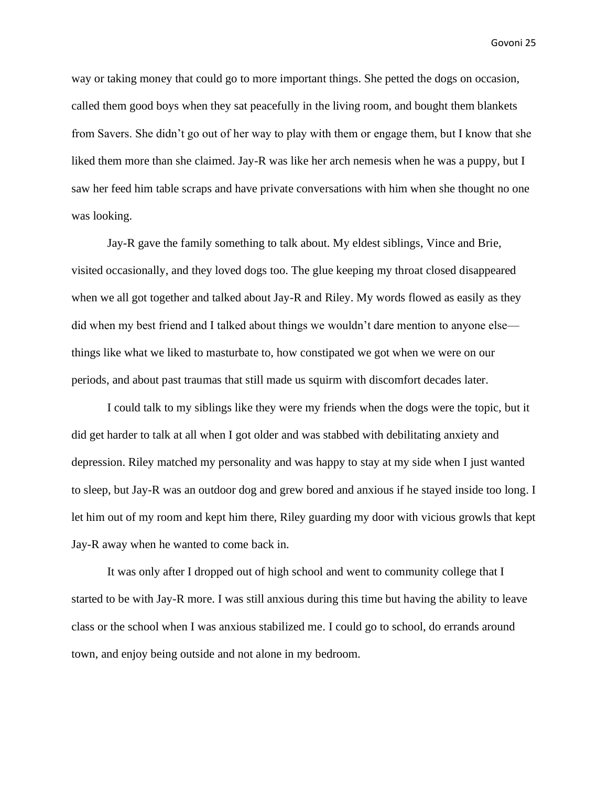way or taking money that could go to more important things. She petted the dogs on occasion, called them good boys when they sat peacefully in the living room, and bought them blankets from Savers. She didn't go out of her way to play with them or engage them, but I know that she liked them more than she claimed. Jay-R was like her arch nemesis when he was a puppy, but I saw her feed him table scraps and have private conversations with him when she thought no one was looking.

Jay-R gave the family something to talk about. My eldest siblings, Vince and Brie, visited occasionally, and they loved dogs too. The glue keeping my throat closed disappeared when we all got together and talked about Jay-R and Riley. My words flowed as easily as they did when my best friend and I talked about things we wouldn't dare mention to anyone else things like what we liked to masturbate to, how constipated we got when we were on our periods, and about past traumas that still made us squirm with discomfort decades later.

I could talk to my siblings like they were my friends when the dogs were the topic, but it did get harder to talk at all when I got older and was stabbed with debilitating anxiety and depression. Riley matched my personality and was happy to stay at my side when I just wanted to sleep, but Jay-R was an outdoor dog and grew bored and anxious if he stayed inside too long. I let him out of my room and kept him there, Riley guarding my door with vicious growls that kept Jay-R away when he wanted to come back in.

It was only after I dropped out of high school and went to community college that I started to be with Jay-R more. I was still anxious during this time but having the ability to leave class or the school when I was anxious stabilized me. I could go to school, do errands around town, and enjoy being outside and not alone in my bedroom.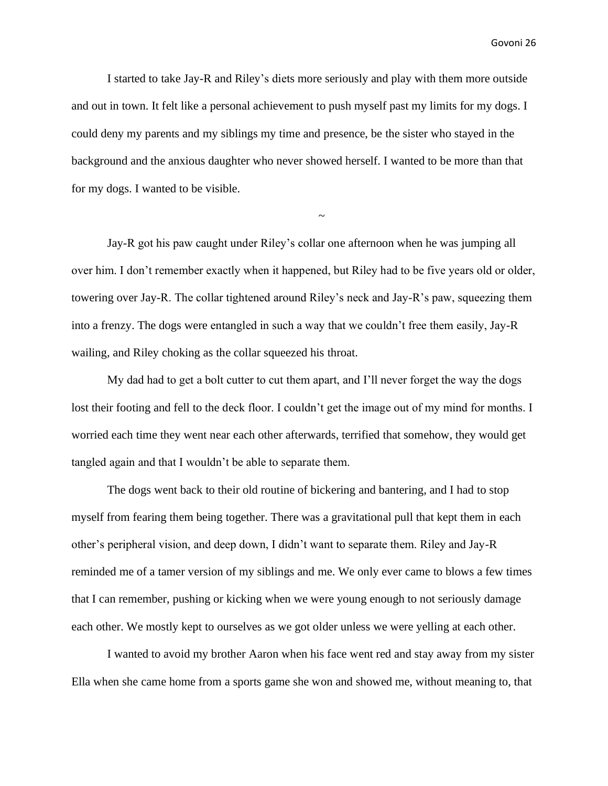I started to take Jay-R and Riley's diets more seriously and play with them more outside and out in town. It felt like a personal achievement to push myself past my limits for my dogs. I could deny my parents and my siblings my time and presence, be the sister who stayed in the background and the anxious daughter who never showed herself. I wanted to be more than that for my dogs. I wanted to be visible.

Jay-R got his paw caught under Riley's collar one afternoon when he was jumping all over him. I don't remember exactly when it happened, but Riley had to be five years old or older, towering over Jay-R. The collar tightened around Riley's neck and Jay-R's paw, squeezing them into a frenzy. The dogs were entangled in such a way that we couldn't free them easily, Jay-R wailing, and Riley choking as the collar squeezed his throat.

~

My dad had to get a bolt cutter to cut them apart, and I'll never forget the way the dogs lost their footing and fell to the deck floor. I couldn't get the image out of my mind for months. I worried each time they went near each other afterwards, terrified that somehow, they would get tangled again and that I wouldn't be able to separate them.

The dogs went back to their old routine of bickering and bantering, and I had to stop myself from fearing them being together. There was a gravitational pull that kept them in each other's peripheral vision, and deep down, I didn't want to separate them. Riley and Jay-R reminded me of a tamer version of my siblings and me. We only ever came to blows a few times that I can remember, pushing or kicking when we were young enough to not seriously damage each other. We mostly kept to ourselves as we got older unless we were yelling at each other.

I wanted to avoid my brother Aaron when his face went red and stay away from my sister Ella when she came home from a sports game she won and showed me, without meaning to, that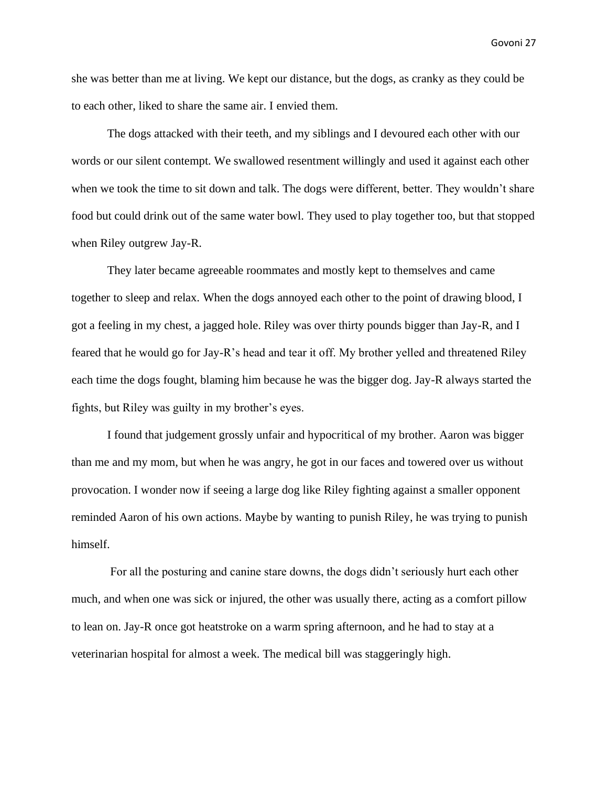she was better than me at living. We kept our distance, but the dogs, as cranky as they could be to each other, liked to share the same air. I envied them.

The dogs attacked with their teeth, and my siblings and I devoured each other with our words or our silent contempt. We swallowed resentment willingly and used it against each other when we took the time to sit down and talk. The dogs were different, better. They wouldn't share food but could drink out of the same water bowl. They used to play together too, but that stopped when Riley outgrew Jay-R.

They later became agreeable roommates and mostly kept to themselves and came together to sleep and relax. When the dogs annoyed each other to the point of drawing blood, I got a feeling in my chest, a jagged hole. Riley was over thirty pounds bigger than Jay-R, and I feared that he would go for Jay-R's head and tear it off. My brother yelled and threatened Riley each time the dogs fought, blaming him because he was the bigger dog. Jay-R always started the fights, but Riley was guilty in my brother's eyes.

I found that judgement grossly unfair and hypocritical of my brother. Aaron was bigger than me and my mom, but when he was angry, he got in our faces and towered over us without provocation. I wonder now if seeing a large dog like Riley fighting against a smaller opponent reminded Aaron of his own actions. Maybe by wanting to punish Riley, he was trying to punish himself.

For all the posturing and canine stare downs, the dogs didn't seriously hurt each other much, and when one was sick or injured, the other was usually there, acting as a comfort pillow to lean on. Jay-R once got heatstroke on a warm spring afternoon, and he had to stay at a veterinarian hospital for almost a week. The medical bill was staggeringly high.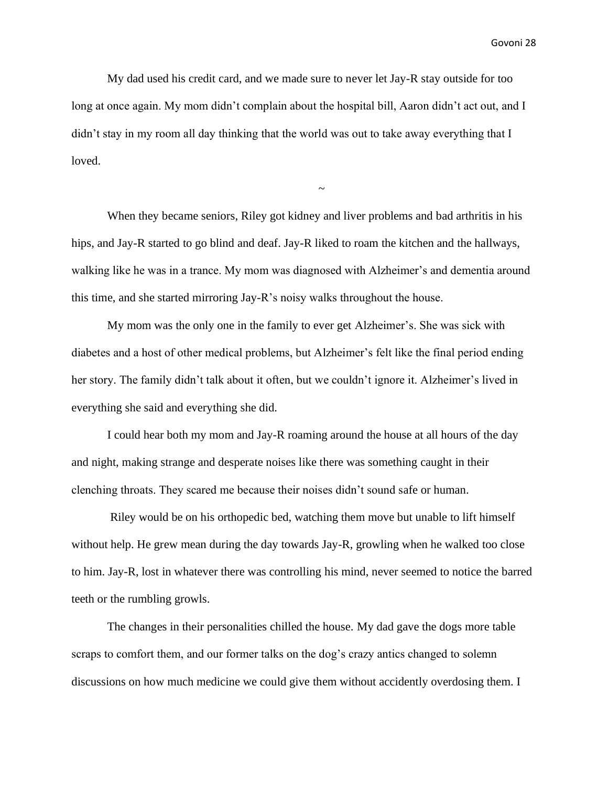My dad used his credit card, and we made sure to never let Jay-R stay outside for too long at once again. My mom didn't complain about the hospital bill, Aaron didn't act out, and I didn't stay in my room all day thinking that the world was out to take away everything that I loved.

When they became seniors, Riley got kidney and liver problems and bad arthritis in his hips, and Jay-R started to go blind and deaf. Jay-R liked to roam the kitchen and the hallways, walking like he was in a trance. My mom was diagnosed with Alzheimer's and dementia around this time, and she started mirroring Jay-R's noisy walks throughout the house.

~

My mom was the only one in the family to ever get Alzheimer's. She was sick with diabetes and a host of other medical problems, but Alzheimer's felt like the final period ending her story. The family didn't talk about it often, but we couldn't ignore it. Alzheimer's lived in everything she said and everything she did.

I could hear both my mom and Jay-R roaming around the house at all hours of the day and night, making strange and desperate noises like there was something caught in their clenching throats. They scared me because their noises didn't sound safe or human.

Riley would be on his orthopedic bed, watching them move but unable to lift himself without help. He grew mean during the day towards Jay-R, growling when he walked too close to him. Jay-R, lost in whatever there was controlling his mind, never seemed to notice the barred teeth or the rumbling growls.

The changes in their personalities chilled the house. My dad gave the dogs more table scraps to comfort them, and our former talks on the dog's crazy antics changed to solemn discussions on how much medicine we could give them without accidently overdosing them. I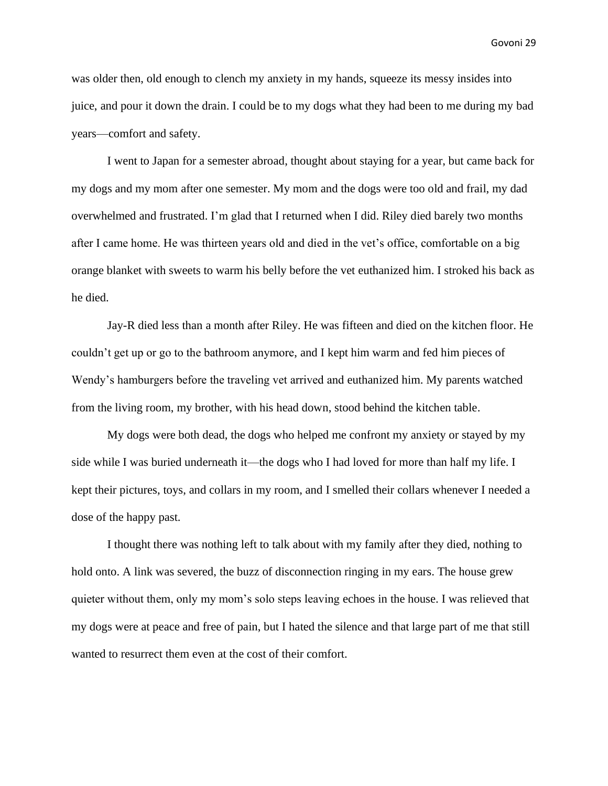was older then, old enough to clench my anxiety in my hands, squeeze its messy insides into juice, and pour it down the drain. I could be to my dogs what they had been to me during my bad years—comfort and safety.

I went to Japan for a semester abroad, thought about staying for a year, but came back for my dogs and my mom after one semester. My mom and the dogs were too old and frail, my dad overwhelmed and frustrated. I'm glad that I returned when I did. Riley died barely two months after I came home. He was thirteen years old and died in the vet's office, comfortable on a big orange blanket with sweets to warm his belly before the vet euthanized him. I stroked his back as he died.

Jay-R died less than a month after Riley. He was fifteen and died on the kitchen floor. He couldn't get up or go to the bathroom anymore, and I kept him warm and fed him pieces of Wendy's hamburgers before the traveling vet arrived and euthanized him. My parents watched from the living room, my brother, with his head down, stood behind the kitchen table.

My dogs were both dead, the dogs who helped me confront my anxiety or stayed by my side while I was buried underneath it—the dogs who I had loved for more than half my life. I kept their pictures, toys, and collars in my room, and I smelled their collars whenever I needed a dose of the happy past.

I thought there was nothing left to talk about with my family after they died, nothing to hold onto. A link was severed, the buzz of disconnection ringing in my ears. The house grew quieter without them, only my mom's solo steps leaving echoes in the house. I was relieved that my dogs were at peace and free of pain, but I hated the silence and that large part of me that still wanted to resurrect them even at the cost of their comfort.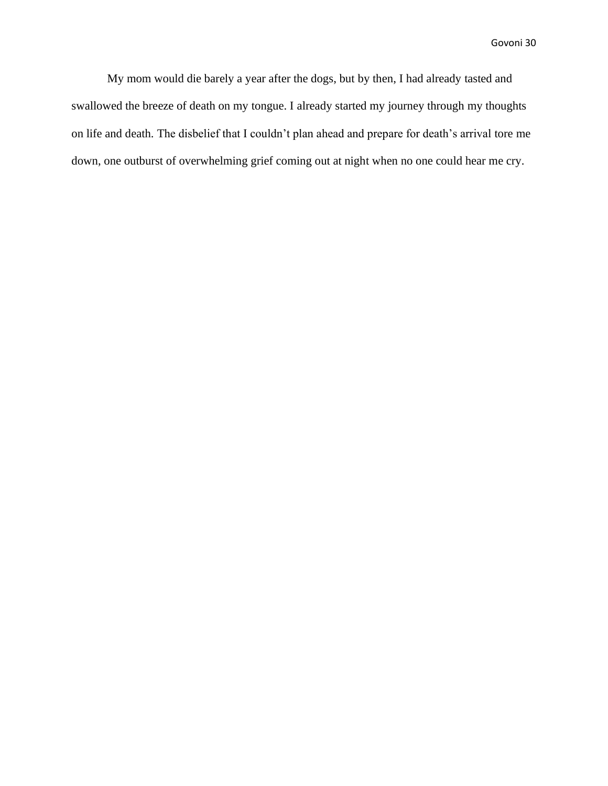My mom would die barely a year after the dogs, but by then, I had already tasted and swallowed the breeze of death on my tongue. I already started my journey through my thoughts on life and death. The disbelief that I couldn't plan ahead and prepare for death's arrival tore me down, one outburst of overwhelming grief coming out at night when no one could hear me cry.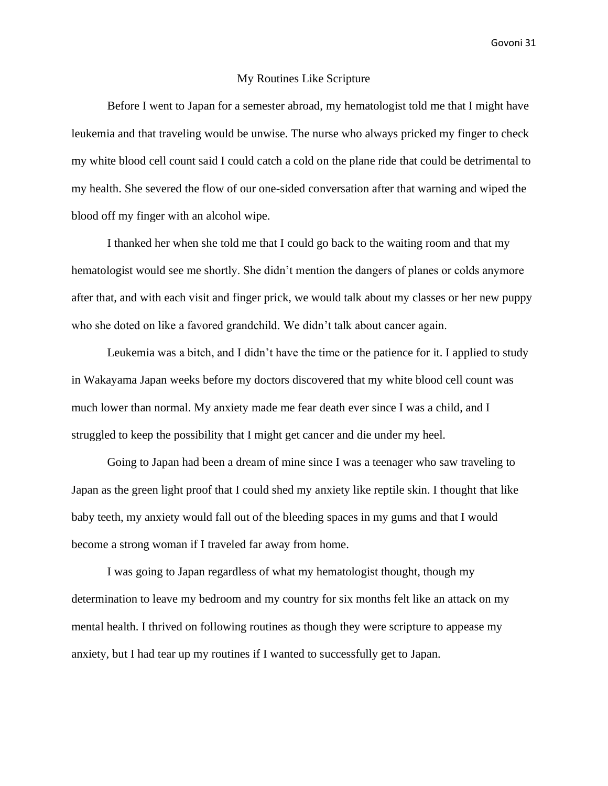#### My Routines Like Scripture

Before I went to Japan for a semester abroad, my hematologist told me that I might have leukemia and that traveling would be unwise. The nurse who always pricked my finger to check my white blood cell count said I could catch a cold on the plane ride that could be detrimental to my health. She severed the flow of our one-sided conversation after that warning and wiped the blood off my finger with an alcohol wipe.

I thanked her when she told me that I could go back to the waiting room and that my hematologist would see me shortly. She didn't mention the dangers of planes or colds anymore after that, and with each visit and finger prick, we would talk about my classes or her new puppy who she doted on like a favored grandchild. We didn't talk about cancer again.

Leukemia was a bitch, and I didn't have the time or the patience for it. I applied to study in Wakayama Japan weeks before my doctors discovered that my white blood cell count was much lower than normal. My anxiety made me fear death ever since I was a child, and I struggled to keep the possibility that I might get cancer and die under my heel.

Going to Japan had been a dream of mine since I was a teenager who saw traveling to Japan as the green light proof that I could shed my anxiety like reptile skin. I thought that like baby teeth, my anxiety would fall out of the bleeding spaces in my gums and that I would become a strong woman if I traveled far away from home.

I was going to Japan regardless of what my hematologist thought, though my determination to leave my bedroom and my country for six months felt like an attack on my mental health. I thrived on following routines as though they were scripture to appease my anxiety, but I had tear up my routines if I wanted to successfully get to Japan.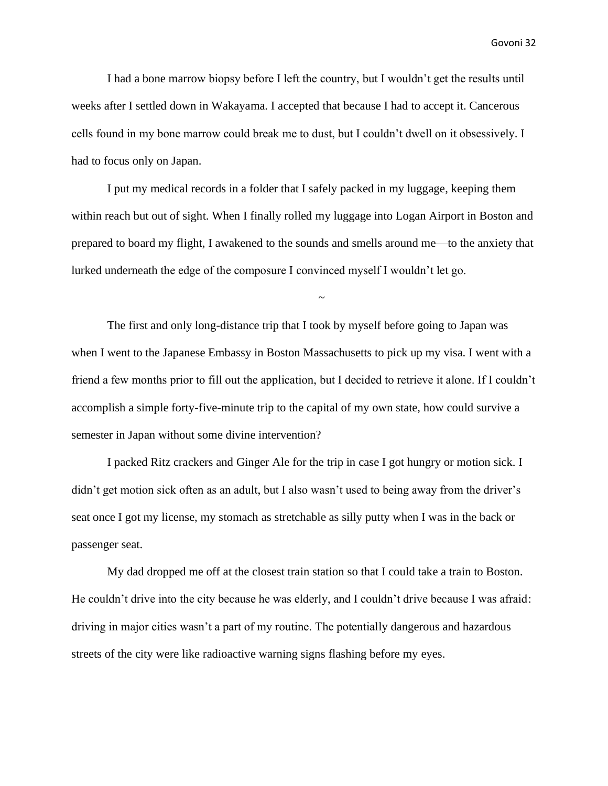I had a bone marrow biopsy before I left the country, but I wouldn't get the results until weeks after I settled down in Wakayama. I accepted that because I had to accept it. Cancerous cells found in my bone marrow could break me to dust, but I couldn't dwell on it obsessively. I had to focus only on Japan.

I put my medical records in a folder that I safely packed in my luggage, keeping them within reach but out of sight. When I finally rolled my luggage into Logan Airport in Boston and prepared to board my flight, I awakened to the sounds and smells around me—to the anxiety that lurked underneath the edge of the composure I convinced myself I wouldn't let go.

~

The first and only long-distance trip that I took by myself before going to Japan was when I went to the Japanese Embassy in Boston Massachusetts to pick up my visa. I went with a friend a few months prior to fill out the application, but I decided to retrieve it alone. If I couldn't accomplish a simple forty-five-minute trip to the capital of my own state, how could survive a semester in Japan without some divine intervention?

I packed Ritz crackers and Ginger Ale for the trip in case I got hungry or motion sick. I didn't get motion sick often as an adult, but I also wasn't used to being away from the driver's seat once I got my license, my stomach as stretchable as silly putty when I was in the back or passenger seat.

My dad dropped me off at the closest train station so that I could take a train to Boston. He couldn't drive into the city because he was elderly, and I couldn't drive because I was afraid: driving in major cities wasn't a part of my routine. The potentially dangerous and hazardous streets of the city were like radioactive warning signs flashing before my eyes.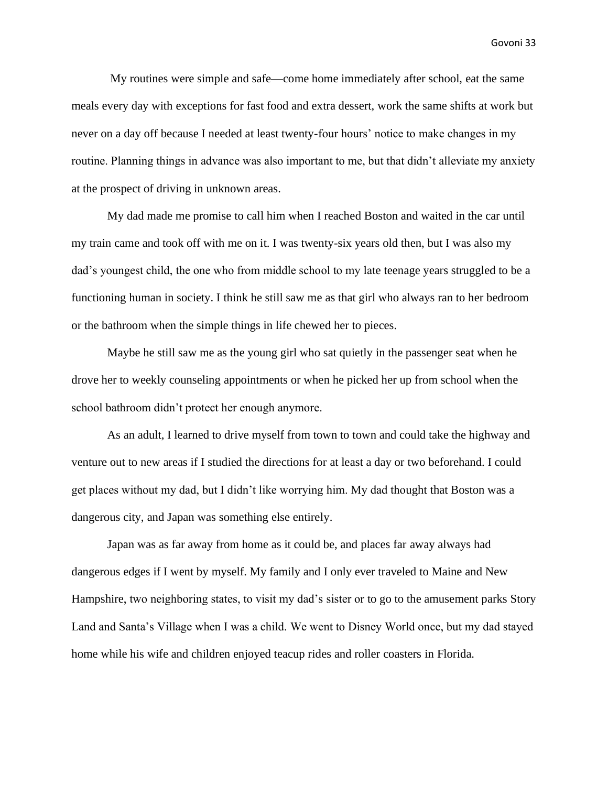My routines were simple and safe—come home immediately after school, eat the same meals every day with exceptions for fast food and extra dessert, work the same shifts at work but never on a day off because I needed at least twenty-four hours' notice to make changes in my routine. Planning things in advance was also important to me, but that didn't alleviate my anxiety at the prospect of driving in unknown areas.

My dad made me promise to call him when I reached Boston and waited in the car until my train came and took off with me on it. I was twenty-six years old then, but I was also my dad's youngest child, the one who from middle school to my late teenage years struggled to be a functioning human in society. I think he still saw me as that girl who always ran to her bedroom or the bathroom when the simple things in life chewed her to pieces.

Maybe he still saw me as the young girl who sat quietly in the passenger seat when he drove her to weekly counseling appointments or when he picked her up from school when the school bathroom didn't protect her enough anymore.

As an adult, I learned to drive myself from town to town and could take the highway and venture out to new areas if I studied the directions for at least a day or two beforehand. I could get places without my dad, but I didn't like worrying him. My dad thought that Boston was a dangerous city, and Japan was something else entirely.

Japan was as far away from home as it could be, and places far away always had dangerous edges if I went by myself. My family and I only ever traveled to Maine and New Hampshire, two neighboring states, to visit my dad's sister or to go to the amusement parks Story Land and Santa's Village when I was a child. We went to Disney World once, but my dad stayed home while his wife and children enjoyed teacup rides and roller coasters in Florida.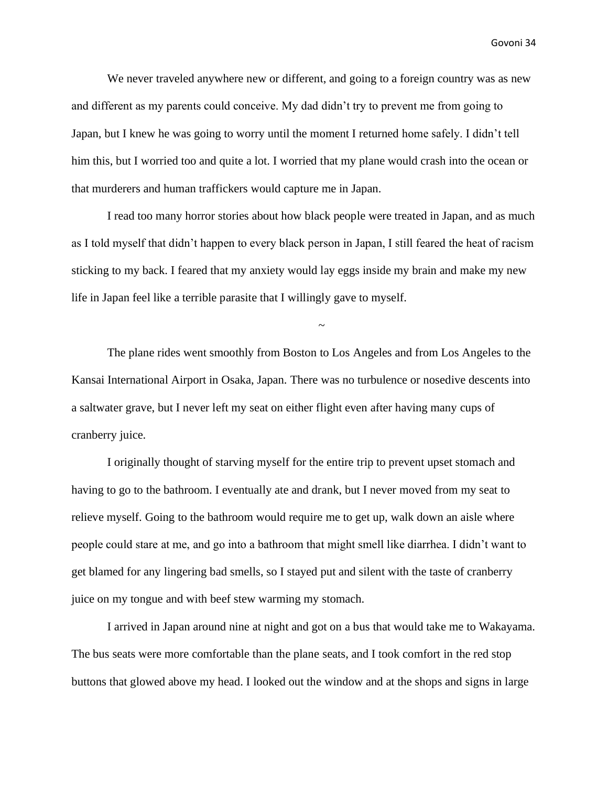We never traveled anywhere new or different, and going to a foreign country was as new and different as my parents could conceive. My dad didn't try to prevent me from going to Japan, but I knew he was going to worry until the moment I returned home safely. I didn't tell him this, but I worried too and quite a lot. I worried that my plane would crash into the ocean or that murderers and human traffickers would capture me in Japan.

I read too many horror stories about how black people were treated in Japan, and as much as I told myself that didn't happen to every black person in Japan, I still feared the heat of racism sticking to my back. I feared that my anxiety would lay eggs inside my brain and make my new life in Japan feel like a terrible parasite that I willingly gave to myself.

~

The plane rides went smoothly from Boston to Los Angeles and from Los Angeles to the Kansai International Airport in Osaka, Japan. There was no turbulence or nosedive descents into a saltwater grave, but I never left my seat on either flight even after having many cups of cranberry juice.

I originally thought of starving myself for the entire trip to prevent upset stomach and having to go to the bathroom. I eventually ate and drank, but I never moved from my seat to relieve myself. Going to the bathroom would require me to get up, walk down an aisle where people could stare at me, and go into a bathroom that might smell like diarrhea. I didn't want to get blamed for any lingering bad smells, so I stayed put and silent with the taste of cranberry juice on my tongue and with beef stew warming my stomach.

I arrived in Japan around nine at night and got on a bus that would take me to Wakayama. The bus seats were more comfortable than the plane seats, and I took comfort in the red stop buttons that glowed above my head. I looked out the window and at the shops and signs in large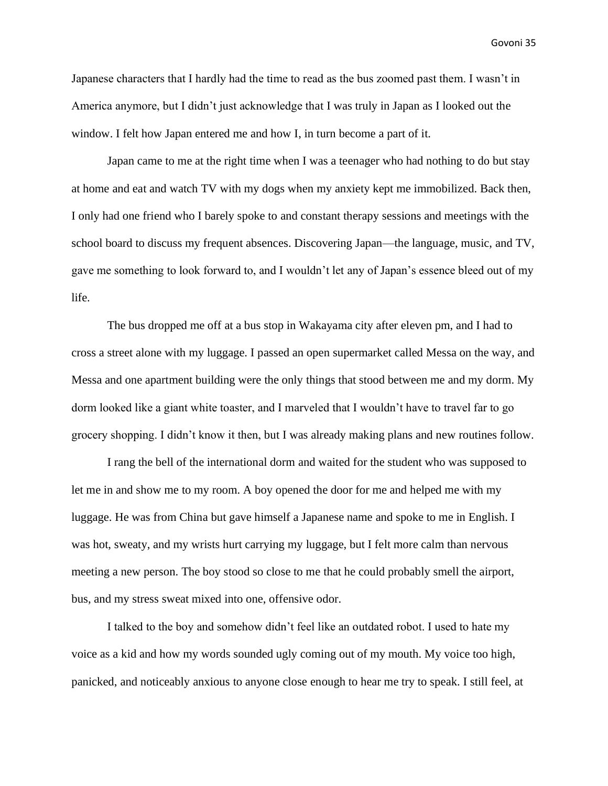Japanese characters that I hardly had the time to read as the bus zoomed past them. I wasn't in America anymore, but I didn't just acknowledge that I was truly in Japan as I looked out the window. I felt how Japan entered me and how I, in turn become a part of it.

Japan came to me at the right time when I was a teenager who had nothing to do but stay at home and eat and watch TV with my dogs when my anxiety kept me immobilized. Back then, I only had one friend who I barely spoke to and constant therapy sessions and meetings with the school board to discuss my frequent absences. Discovering Japan—the language, music, and TV, gave me something to look forward to, and I wouldn't let any of Japan's essence bleed out of my life.

The bus dropped me off at a bus stop in Wakayama city after eleven pm, and I had to cross a street alone with my luggage. I passed an open supermarket called Messa on the way, and Messa and one apartment building were the only things that stood between me and my dorm. My dorm looked like a giant white toaster, and I marveled that I wouldn't have to travel far to go grocery shopping. I didn't know it then, but I was already making plans and new routines follow.

I rang the bell of the international dorm and waited for the student who was supposed to let me in and show me to my room. A boy opened the door for me and helped me with my luggage. He was from China but gave himself a Japanese name and spoke to me in English. I was hot, sweaty, and my wrists hurt carrying my luggage, but I felt more calm than nervous meeting a new person. The boy stood so close to me that he could probably smell the airport, bus, and my stress sweat mixed into one, offensive odor.

I talked to the boy and somehow didn't feel like an outdated robot. I used to hate my voice as a kid and how my words sounded ugly coming out of my mouth. My voice too high, panicked, and noticeably anxious to anyone close enough to hear me try to speak. I still feel, at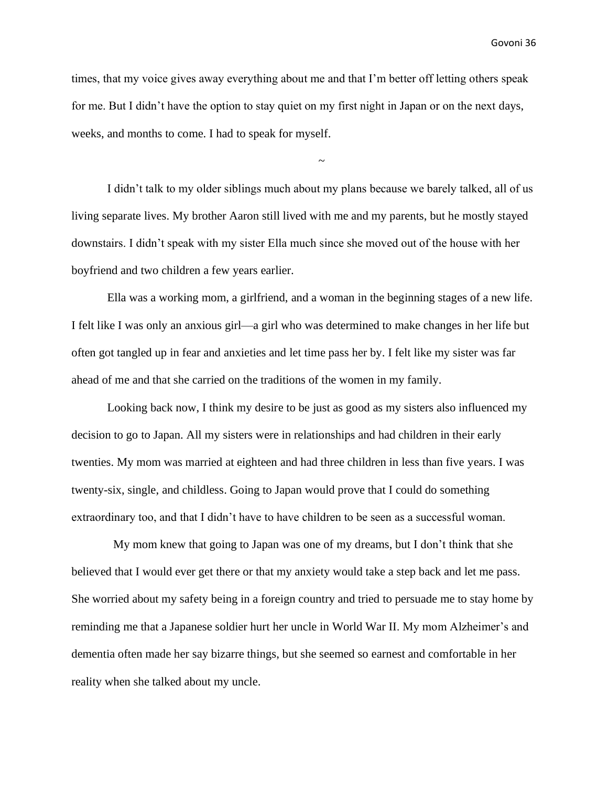times, that my voice gives away everything about me and that I'm better off letting others speak for me. But I didn't have the option to stay quiet on my first night in Japan or on the next days, weeks, and months to come. I had to speak for myself.

~

I didn't talk to my older siblings much about my plans because we barely talked, all of us living separate lives. My brother Aaron still lived with me and my parents, but he mostly stayed downstairs. I didn't speak with my sister Ella much since she moved out of the house with her boyfriend and two children a few years earlier.

Ella was a working mom, a girlfriend, and a woman in the beginning stages of a new life. I felt like I was only an anxious girl—a girl who was determined to make changes in her life but often got tangled up in fear and anxieties and let time pass her by. I felt like my sister was far ahead of me and that she carried on the traditions of the women in my family.

Looking back now, I think my desire to be just as good as my sisters also influenced my decision to go to Japan. All my sisters were in relationships and had children in their early twenties. My mom was married at eighteen and had three children in less than five years. I was twenty-six, single, and childless. Going to Japan would prove that I could do something extraordinary too, and that I didn't have to have children to be seen as a successful woman.

 My mom knew that going to Japan was one of my dreams, but I don't think that she believed that I would ever get there or that my anxiety would take a step back and let me pass. She worried about my safety being in a foreign country and tried to persuade me to stay home by reminding me that a Japanese soldier hurt her uncle in World War II. My mom Alzheimer's and dementia often made her say bizarre things, but she seemed so earnest and comfortable in her reality when she talked about my uncle.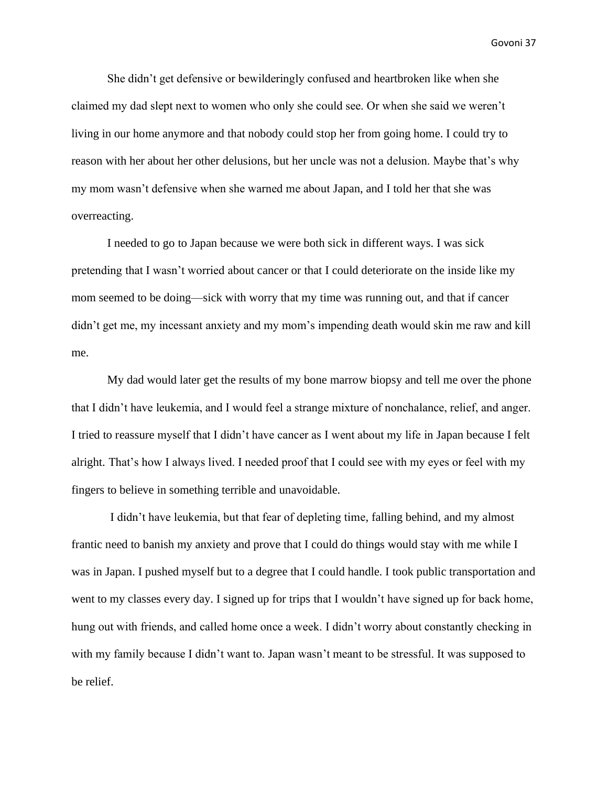She didn't get defensive or bewilderingly confused and heartbroken like when she claimed my dad slept next to women who only she could see. Or when she said we weren't living in our home anymore and that nobody could stop her from going home. I could try to reason with her about her other delusions, but her uncle was not a delusion. Maybe that's why my mom wasn't defensive when she warned me about Japan, and I told her that she was overreacting.

I needed to go to Japan because we were both sick in different ways. I was sick pretending that I wasn't worried about cancer or that I could deteriorate on the inside like my mom seemed to be doing—sick with worry that my time was running out, and that if cancer didn't get me, my incessant anxiety and my mom's impending death would skin me raw and kill me.

My dad would later get the results of my bone marrow biopsy and tell me over the phone that I didn't have leukemia, and I would feel a strange mixture of nonchalance, relief, and anger. I tried to reassure myself that I didn't have cancer as I went about my life in Japan because I felt alright. That's how I always lived. I needed proof that I could see with my eyes or feel with my fingers to believe in something terrible and unavoidable.

I didn't have leukemia, but that fear of depleting time, falling behind, and my almost frantic need to banish my anxiety and prove that I could do things would stay with me while I was in Japan. I pushed myself but to a degree that I could handle. I took public transportation and went to my classes every day. I signed up for trips that I wouldn't have signed up for back home, hung out with friends, and called home once a week. I didn't worry about constantly checking in with my family because I didn't want to. Japan wasn't meant to be stressful. It was supposed to be relief.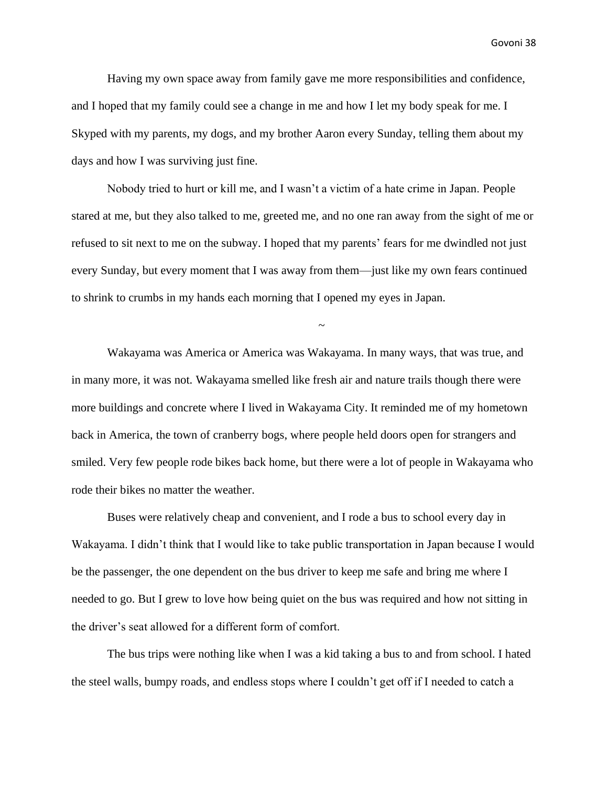Having my own space away from family gave me more responsibilities and confidence, and I hoped that my family could see a change in me and how I let my body speak for me. I Skyped with my parents, my dogs, and my brother Aaron every Sunday, telling them about my days and how I was surviving just fine.

Nobody tried to hurt or kill me, and I wasn't a victim of a hate crime in Japan. People stared at me, but they also talked to me, greeted me, and no one ran away from the sight of me or refused to sit next to me on the subway. I hoped that my parents' fears for me dwindled not just every Sunday, but every moment that I was away from them—just like my own fears continued to shrink to crumbs in my hands each morning that I opened my eyes in Japan.

~

Wakayama was America or America was Wakayama. In many ways, that was true, and in many more, it was not. Wakayama smelled like fresh air and nature trails though there were more buildings and concrete where I lived in Wakayama City. It reminded me of my hometown back in America, the town of cranberry bogs, where people held doors open for strangers and smiled. Very few people rode bikes back home, but there were a lot of people in Wakayama who rode their bikes no matter the weather.

Buses were relatively cheap and convenient, and I rode a bus to school every day in Wakayama. I didn't think that I would like to take public transportation in Japan because I would be the passenger, the one dependent on the bus driver to keep me safe and bring me where I needed to go. But I grew to love how being quiet on the bus was required and how not sitting in the driver's seat allowed for a different form of comfort.

The bus trips were nothing like when I was a kid taking a bus to and from school. I hated the steel walls, bumpy roads, and endless stops where I couldn't get off if I needed to catch a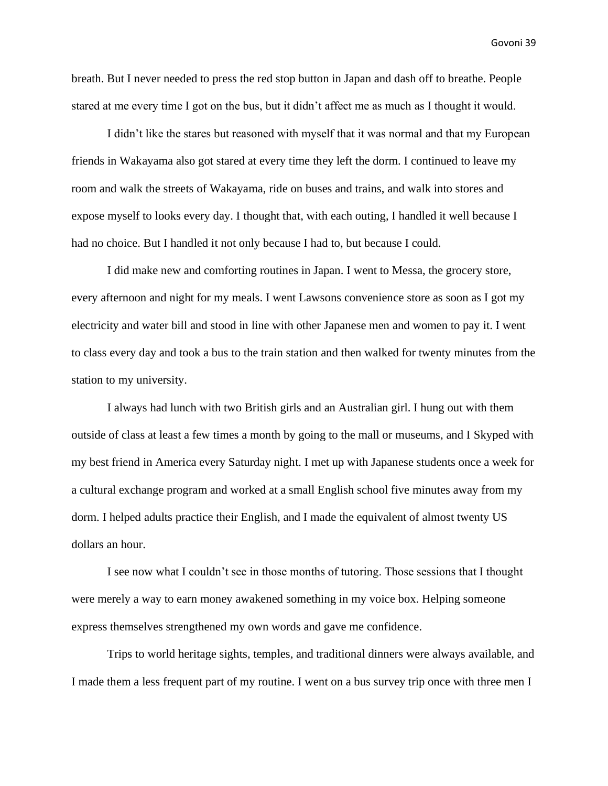breath. But I never needed to press the red stop button in Japan and dash off to breathe. People stared at me every time I got on the bus, but it didn't affect me as much as I thought it would.

I didn't like the stares but reasoned with myself that it was normal and that my European friends in Wakayama also got stared at every time they left the dorm. I continued to leave my room and walk the streets of Wakayama, ride on buses and trains, and walk into stores and expose myself to looks every day. I thought that, with each outing, I handled it well because I had no choice. But I handled it not only because I had to, but because I could.

I did make new and comforting routines in Japan. I went to Messa, the grocery store, every afternoon and night for my meals. I went Lawsons convenience store as soon as I got my electricity and water bill and stood in line with other Japanese men and women to pay it. I went to class every day and took a bus to the train station and then walked for twenty minutes from the station to my university.

I always had lunch with two British girls and an Australian girl. I hung out with them outside of class at least a few times a month by going to the mall or museums, and I Skyped with my best friend in America every Saturday night. I met up with Japanese students once a week for a cultural exchange program and worked at a small English school five minutes away from my dorm. I helped adults practice their English, and I made the equivalent of almost twenty US dollars an hour.

I see now what I couldn't see in those months of tutoring. Those sessions that I thought were merely a way to earn money awakened something in my voice box. Helping someone express themselves strengthened my own words and gave me confidence.

Trips to world heritage sights, temples, and traditional dinners were always available, and I made them a less frequent part of my routine. I went on a bus survey trip once with three men I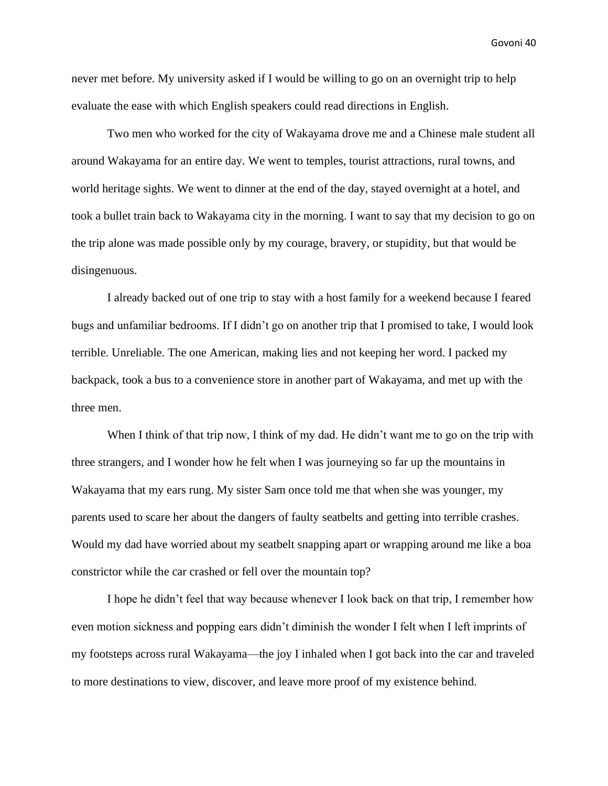never met before. My university asked if I would be willing to go on an overnight trip to help evaluate the ease with which English speakers could read directions in English.

Two men who worked for the city of Wakayama drove me and a Chinese male student all around Wakayama for an entire day. We went to temples, tourist attractions, rural towns, and world heritage sights. We went to dinner at the end of the day, stayed overnight at a hotel, and took a bullet train back to Wakayama city in the morning. I want to say that my decision to go on the trip alone was made possible only by my courage, bravery, or stupidity, but that would be disingenuous.

I already backed out of one trip to stay with a host family for a weekend because I feared bugs and unfamiliar bedrooms. If I didn't go on another trip that I promised to take, I would look terrible. Unreliable. The one American, making lies and not keeping her word. I packed my backpack, took a bus to a convenience store in another part of Wakayama, and met up with the three men.

When I think of that trip now, I think of my dad. He didn't want me to go on the trip with three strangers, and I wonder how he felt when I was journeying so far up the mountains in Wakayama that my ears rung. My sister Sam once told me that when she was younger, my parents used to scare her about the dangers of faulty seatbelts and getting into terrible crashes. Would my dad have worried about my seatbelt snapping apart or wrapping around me like a boa constrictor while the car crashed or fell over the mountain top?

I hope he didn't feel that way because whenever I look back on that trip, I remember how even motion sickness and popping ears didn't diminish the wonder I felt when I left imprints of my footsteps across rural Wakayama—the joy I inhaled when I got back into the car and traveled to more destinations to view, discover, and leave more proof of my existence behind.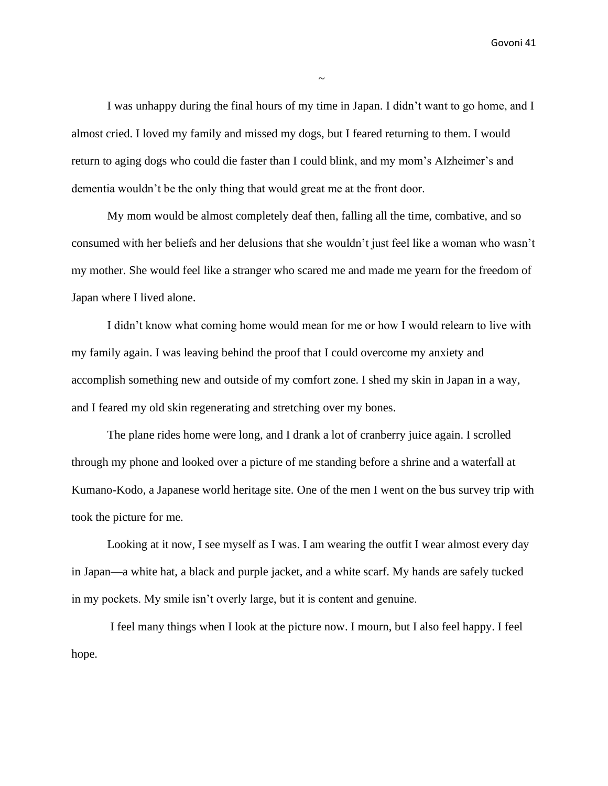I was unhappy during the final hours of my time in Japan. I didn't want to go home, and I almost cried. I loved my family and missed my dogs, but I feared returning to them. I would return to aging dogs who could die faster than I could blink, and my mom's Alzheimer's and dementia wouldn't be the only thing that would great me at the front door.

My mom would be almost completely deaf then, falling all the time, combative, and so consumed with her beliefs and her delusions that she wouldn't just feel like a woman who wasn't my mother. She would feel like a stranger who scared me and made me yearn for the freedom of Japan where I lived alone.

I didn't know what coming home would mean for me or how I would relearn to live with my family again. I was leaving behind the proof that I could overcome my anxiety and accomplish something new and outside of my comfort zone. I shed my skin in Japan in a way, and I feared my old skin regenerating and stretching over my bones.

The plane rides home were long, and I drank a lot of cranberry juice again. I scrolled through my phone and looked over a picture of me standing before a shrine and a waterfall at Kumano-Kodo, a Japanese world heritage site. One of the men I went on the bus survey trip with took the picture for me.

Looking at it now, I see myself as I was. I am wearing the outfit I wear almost every day in Japan—a white hat, a black and purple jacket, and a white scarf. My hands are safely tucked in my pockets. My smile isn't overly large, but it is content and genuine.

I feel many things when I look at the picture now. I mourn, but I also feel happy. I feel hope.

 $\sim$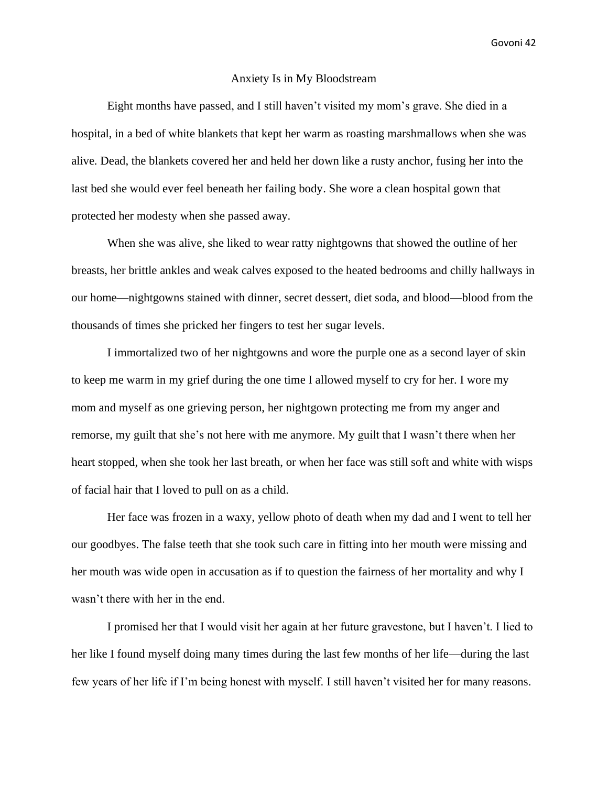#### Anxiety Is in My Bloodstream

Eight months have passed, and I still haven't visited my mom's grave. She died in a hospital, in a bed of white blankets that kept her warm as roasting marshmallows when she was alive. Dead, the blankets covered her and held her down like a rusty anchor, fusing her into the last bed she would ever feel beneath her failing body. She wore a clean hospital gown that protected her modesty when she passed away.

When she was alive, she liked to wear ratty nightgowns that showed the outline of her breasts, her brittle ankles and weak calves exposed to the heated bedrooms and chilly hallways in our home—nightgowns stained with dinner, secret dessert, diet soda, and blood—blood from the thousands of times she pricked her fingers to test her sugar levels.

I immortalized two of her nightgowns and wore the purple one as a second layer of skin to keep me warm in my grief during the one time I allowed myself to cry for her. I wore my mom and myself as one grieving person, her nightgown protecting me from my anger and remorse, my guilt that she's not here with me anymore. My guilt that I wasn't there when her heart stopped, when she took her last breath, or when her face was still soft and white with wisps of facial hair that I loved to pull on as a child.

Her face was frozen in a waxy, yellow photo of death when my dad and I went to tell her our goodbyes. The false teeth that she took such care in fitting into her mouth were missing and her mouth was wide open in accusation as if to question the fairness of her mortality and why I wasn't there with her in the end.

I promised her that I would visit her again at her future gravestone, but I haven't. I lied to her like I found myself doing many times during the last few months of her life—during the last few years of her life if I'm being honest with myself. I still haven't visited her for many reasons.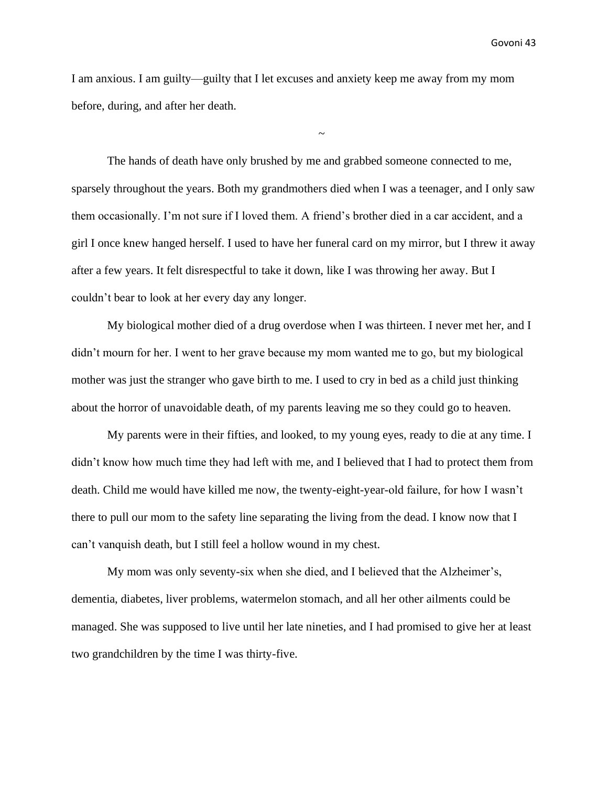I am anxious. I am guilty—guilty that I let excuses and anxiety keep me away from my mom before, during, and after her death.

 $\sim$ 

The hands of death have only brushed by me and grabbed someone connected to me, sparsely throughout the years. Both my grandmothers died when I was a teenager, and I only saw them occasionally. I'm not sure if I loved them. A friend's brother died in a car accident, and a girl I once knew hanged herself. I used to have her funeral card on my mirror, but I threw it away after a few years. It felt disrespectful to take it down, like I was throwing her away. But I couldn't bear to look at her every day any longer.

My biological mother died of a drug overdose when I was thirteen. I never met her, and I didn't mourn for her. I went to her grave because my mom wanted me to go, but my biological mother was just the stranger who gave birth to me. I used to cry in bed as a child just thinking about the horror of unavoidable death, of my parents leaving me so they could go to heaven.

My parents were in their fifties, and looked, to my young eyes, ready to die at any time. I didn't know how much time they had left with me, and I believed that I had to protect them from death. Child me would have killed me now, the twenty-eight-year-old failure, for how I wasn't there to pull our mom to the safety line separating the living from the dead. I know now that I can't vanquish death, but I still feel a hollow wound in my chest.

My mom was only seventy-six when she died, and I believed that the Alzheimer's, dementia, diabetes, liver problems, watermelon stomach, and all her other ailments could be managed. She was supposed to live until her late nineties, and I had promised to give her at least two grandchildren by the time I was thirty-five.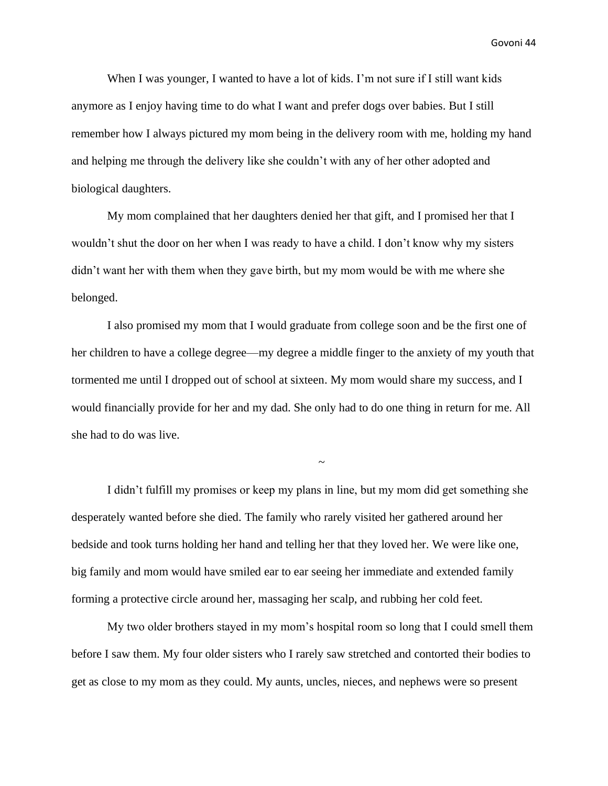When I was younger, I wanted to have a lot of kids. I'm not sure if I still want kids anymore as I enjoy having time to do what I want and prefer dogs over babies. But I still remember how I always pictured my mom being in the delivery room with me, holding my hand and helping me through the delivery like she couldn't with any of her other adopted and biological daughters.

My mom complained that her daughters denied her that gift, and I promised her that I wouldn't shut the door on her when I was ready to have a child. I don't know why my sisters didn't want her with them when they gave birth, but my mom would be with me where she belonged.

I also promised my mom that I would graduate from college soon and be the first one of her children to have a college degree—my degree a middle finger to the anxiety of my youth that tormented me until I dropped out of school at sixteen. My mom would share my success, and I would financially provide for her and my dad. She only had to do one thing in return for me. All she had to do was live.

~

I didn't fulfill my promises or keep my plans in line, but my mom did get something she desperately wanted before she died. The family who rarely visited her gathered around her bedside and took turns holding her hand and telling her that they loved her. We were like one, big family and mom would have smiled ear to ear seeing her immediate and extended family forming a protective circle around her, massaging her scalp, and rubbing her cold feet.

My two older brothers stayed in my mom's hospital room so long that I could smell them before I saw them. My four older sisters who I rarely saw stretched and contorted their bodies to get as close to my mom as they could. My aunts, uncles, nieces, and nephews were so present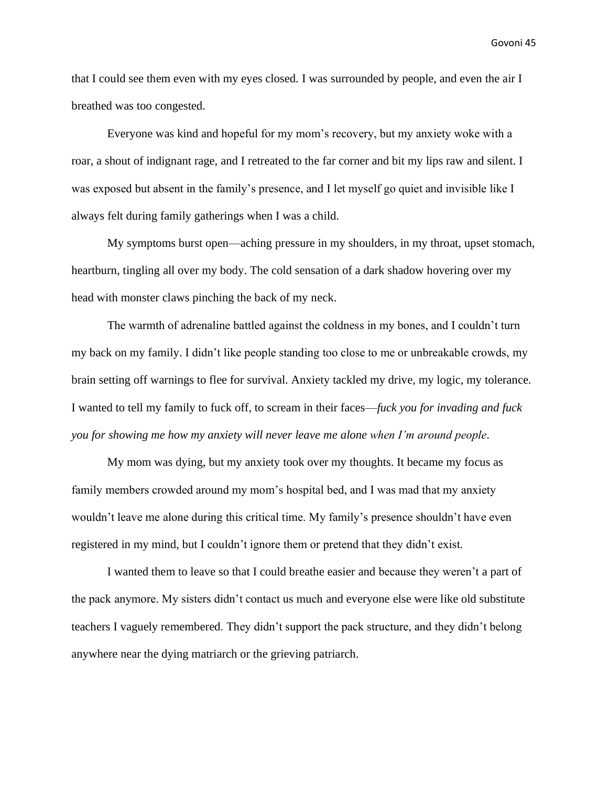that I could see them even with my eyes closed. I was surrounded by people, and even the air I breathed was too congested.

Everyone was kind and hopeful for my mom's recovery, but my anxiety woke with a roar, a shout of indignant rage, and I retreated to the far corner and bit my lips raw and silent. I was exposed but absent in the family's presence, and I let myself go quiet and invisible like I always felt during family gatherings when I was a child.

My symptoms burst open—aching pressure in my shoulders, in my throat, upset stomach, heartburn, tingling all over my body. The cold sensation of a dark shadow hovering over my head with monster claws pinching the back of my neck.

The warmth of adrenaline battled against the coldness in my bones, and I couldn't turn my back on my family. I didn't like people standing too close to me or unbreakable crowds, my brain setting off warnings to flee for survival. Anxiety tackled my drive, my logic, my tolerance. I wanted to tell my family to fuck off, to scream in their faces—*fuck you for invading and fuck you for showing me how my anxiety will never leave me alone when I'm around people*.

My mom was dying, but my anxiety took over my thoughts. It became my focus as family members crowded around my mom's hospital bed, and I was mad that my anxiety wouldn't leave me alone during this critical time. My family's presence shouldn't have even registered in my mind, but I couldn't ignore them or pretend that they didn't exist.

I wanted them to leave so that I could breathe easier and because they weren't a part of the pack anymore. My sisters didn't contact us much and everyone else were like old substitute teachers I vaguely remembered. They didn't support the pack structure, and they didn't belong anywhere near the dying matriarch or the grieving patriarch.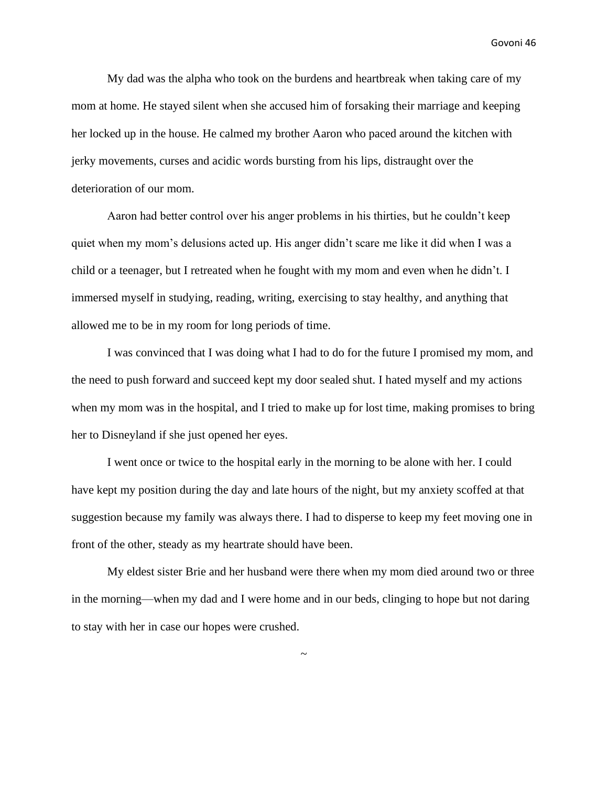My dad was the alpha who took on the burdens and heartbreak when taking care of my mom at home. He stayed silent when she accused him of forsaking their marriage and keeping her locked up in the house. He calmed my brother Aaron who paced around the kitchen with jerky movements, curses and acidic words bursting from his lips, distraught over the deterioration of our mom.

Aaron had better control over his anger problems in his thirties, but he couldn't keep quiet when my mom's delusions acted up. His anger didn't scare me like it did when I was a child or a teenager, but I retreated when he fought with my mom and even when he didn't. I immersed myself in studying, reading, writing, exercising to stay healthy, and anything that allowed me to be in my room for long periods of time.

I was convinced that I was doing what I had to do for the future I promised my mom, and the need to push forward and succeed kept my door sealed shut. I hated myself and my actions when my mom was in the hospital, and I tried to make up for lost time, making promises to bring her to Disneyland if she just opened her eyes.

I went once or twice to the hospital early in the morning to be alone with her. I could have kept my position during the day and late hours of the night, but my anxiety scoffed at that suggestion because my family was always there. I had to disperse to keep my feet moving one in front of the other, steady as my heartrate should have been.

My eldest sister Brie and her husband were there when my mom died around two or three in the morning—when my dad and I were home and in our beds, clinging to hope but not daring to stay with her in case our hopes were crushed.

~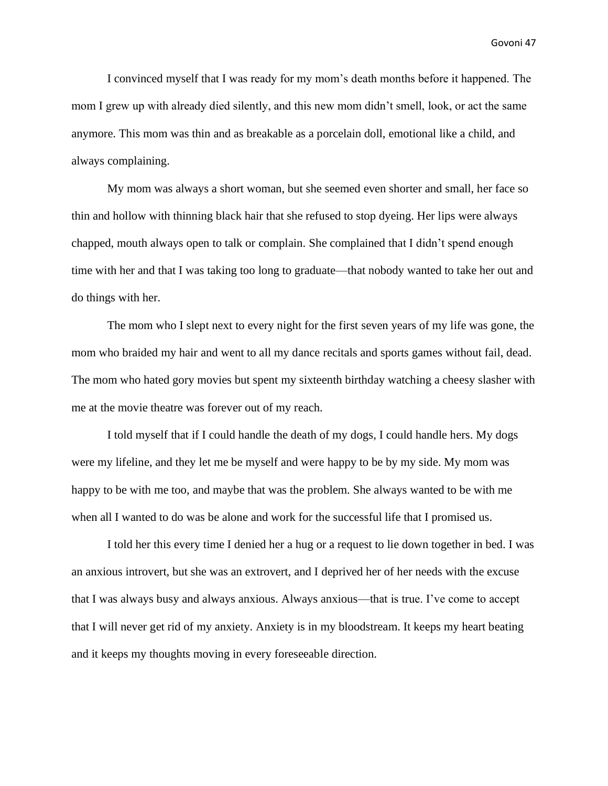I convinced myself that I was ready for my mom's death months before it happened. The mom I grew up with already died silently, and this new mom didn't smell, look, or act the same anymore. This mom was thin and as breakable as a porcelain doll, emotional like a child, and always complaining.

My mom was always a short woman, but she seemed even shorter and small, her face so thin and hollow with thinning black hair that she refused to stop dyeing. Her lips were always chapped, mouth always open to talk or complain. She complained that I didn't spend enough time with her and that I was taking too long to graduate—that nobody wanted to take her out and do things with her.

The mom who I slept next to every night for the first seven years of my life was gone, the mom who braided my hair and went to all my dance recitals and sports games without fail, dead. The mom who hated gory movies but spent my sixteenth birthday watching a cheesy slasher with me at the movie theatre was forever out of my reach.

I told myself that if I could handle the death of my dogs, I could handle hers. My dogs were my lifeline, and they let me be myself and were happy to be by my side. My mom was happy to be with me too, and maybe that was the problem. She always wanted to be with me when all I wanted to do was be alone and work for the successful life that I promised us.

I told her this every time I denied her a hug or a request to lie down together in bed. I was an anxious introvert, but she was an extrovert, and I deprived her of her needs with the excuse that I was always busy and always anxious. Always anxious—that is true. I've come to accept that I will never get rid of my anxiety. Anxiety is in my bloodstream. It keeps my heart beating and it keeps my thoughts moving in every foreseeable direction.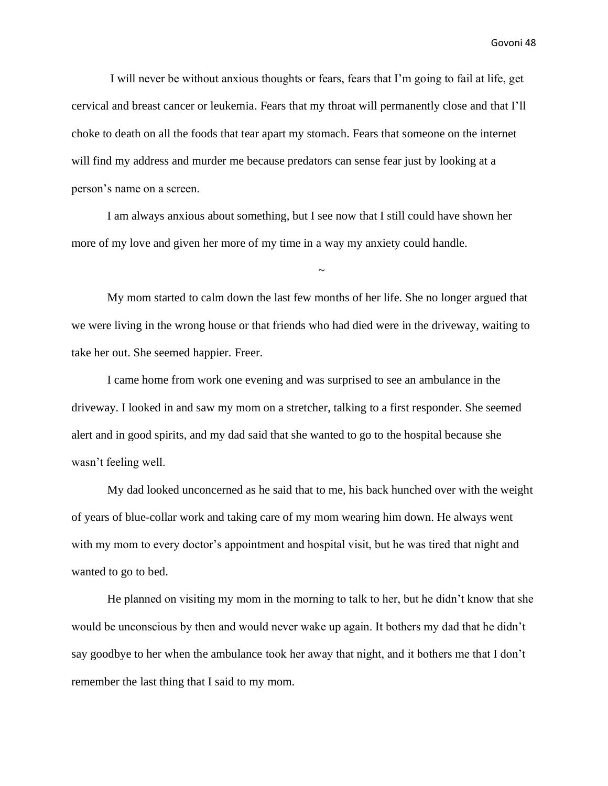I will never be without anxious thoughts or fears, fears that I'm going to fail at life, get cervical and breast cancer or leukemia. Fears that my throat will permanently close and that I'll choke to death on all the foods that tear apart my stomach. Fears that someone on the internet will find my address and murder me because predators can sense fear just by looking at a person's name on a screen.

I am always anxious about something, but I see now that I still could have shown her more of my love and given her more of my time in a way my anxiety could handle.

My mom started to calm down the last few months of her life. She no longer argued that we were living in the wrong house or that friends who had died were in the driveway, waiting to take her out. She seemed happier. Freer.

~

I came home from work one evening and was surprised to see an ambulance in the driveway. I looked in and saw my mom on a stretcher, talking to a first responder. She seemed alert and in good spirits, and my dad said that she wanted to go to the hospital because she wasn't feeling well.

My dad looked unconcerned as he said that to me, his back hunched over with the weight of years of blue-collar work and taking care of my mom wearing him down. He always went with my mom to every doctor's appointment and hospital visit, but he was tired that night and wanted to go to bed.

He planned on visiting my mom in the morning to talk to her, but he didn't know that she would be unconscious by then and would never wake up again. It bothers my dad that he didn't say goodbye to her when the ambulance took her away that night, and it bothers me that I don't remember the last thing that I said to my mom.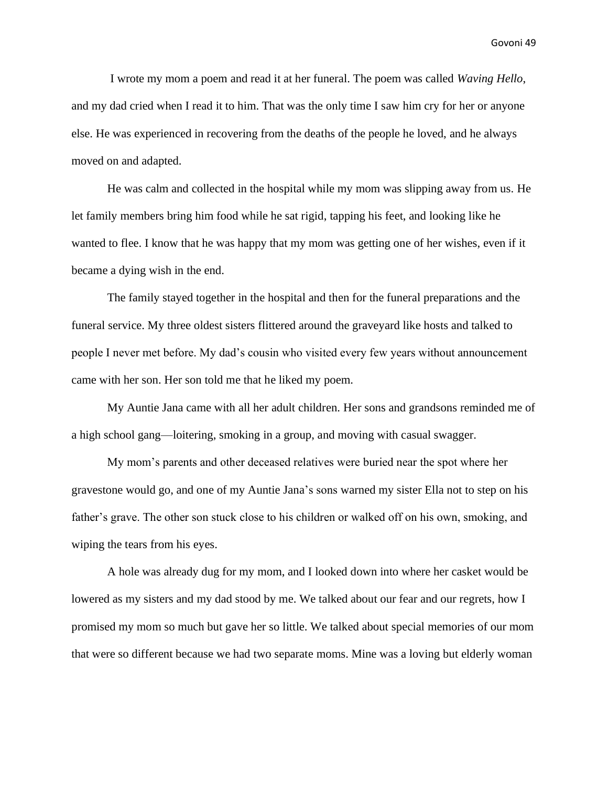I wrote my mom a poem and read it at her funeral. The poem was called *Waving Hello*, and my dad cried when I read it to him. That was the only time I saw him cry for her or anyone else. He was experienced in recovering from the deaths of the people he loved, and he always moved on and adapted.

He was calm and collected in the hospital while my mom was slipping away from us. He let family members bring him food while he sat rigid, tapping his feet, and looking like he wanted to flee. I know that he was happy that my mom was getting one of her wishes, even if it became a dying wish in the end.

The family stayed together in the hospital and then for the funeral preparations and the funeral service. My three oldest sisters flittered around the graveyard like hosts and talked to people I never met before. My dad's cousin who visited every few years without announcement came with her son. Her son told me that he liked my poem.

My Auntie Jana came with all her adult children. Her sons and grandsons reminded me of a high school gang—loitering, smoking in a group, and moving with casual swagger.

My mom's parents and other deceased relatives were buried near the spot where her gravestone would go, and one of my Auntie Jana's sons warned my sister Ella not to step on his father's grave. The other son stuck close to his children or walked off on his own, smoking, and wiping the tears from his eyes.

A hole was already dug for my mom, and I looked down into where her casket would be lowered as my sisters and my dad stood by me. We talked about our fear and our regrets, how I promised my mom so much but gave her so little. We talked about special memories of our mom that were so different because we had two separate moms. Mine was a loving but elderly woman